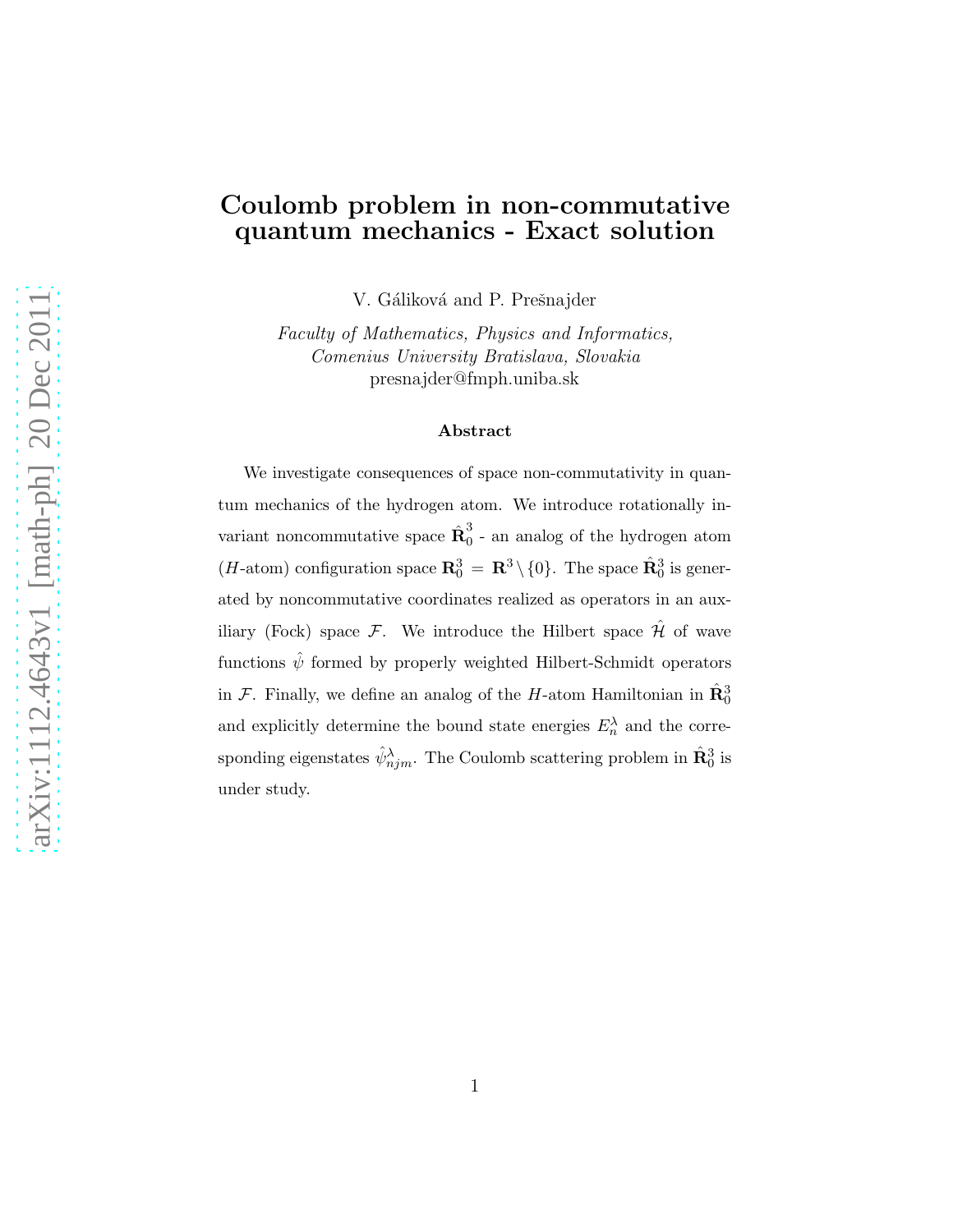#### Coulomb problem in non-commutative quantum mechanics - Exact solution

V. Gáliková and P. Prešnajder

Faculty of Mathematics, Physics and Informatics, Comenius University Bratislava, Slovakia presnajder@fmph.uniba.sk

#### Abstract

We investigate consequences of space non-commutativity in quantum mechanics of the hydrogen atom. We introduce rotationally invariant noncommutative space  $\hat{\mathbf{R}}_0^3$  $\int_{0}^{\infty}$  - an analog of the hydrogen atom (*H*-atom) configuration space  $\mathbb{R}^3_0 = \mathbb{R}^3 \setminus \{0\}$ . The space  $\hat{\mathbb{R}}^3_0$  is generated by noncommutative coordinates realized as operators in an auxiliary (Fock) space  $\mathcal{F}$ . We introduce the Hilbert space  $\hat{\mathcal{H}}$  of wave functions  $\hat{\psi}$  formed by properly weighted Hilbert-Schmidt operators in  $\mathcal{F}$ . Finally, we define an analog of the H-atom Hamiltonian in  $\hat{\mathbf{R}}_0^3$ and explicitly determine the bound state energies  $E_n^{\lambda}$  and the corresponding eigenstates  $\hat{\psi}_{njm}^{\lambda}$ . The Coulomb scattering problem in  $\hat{\mathbf{R}}_0^3$  is under study.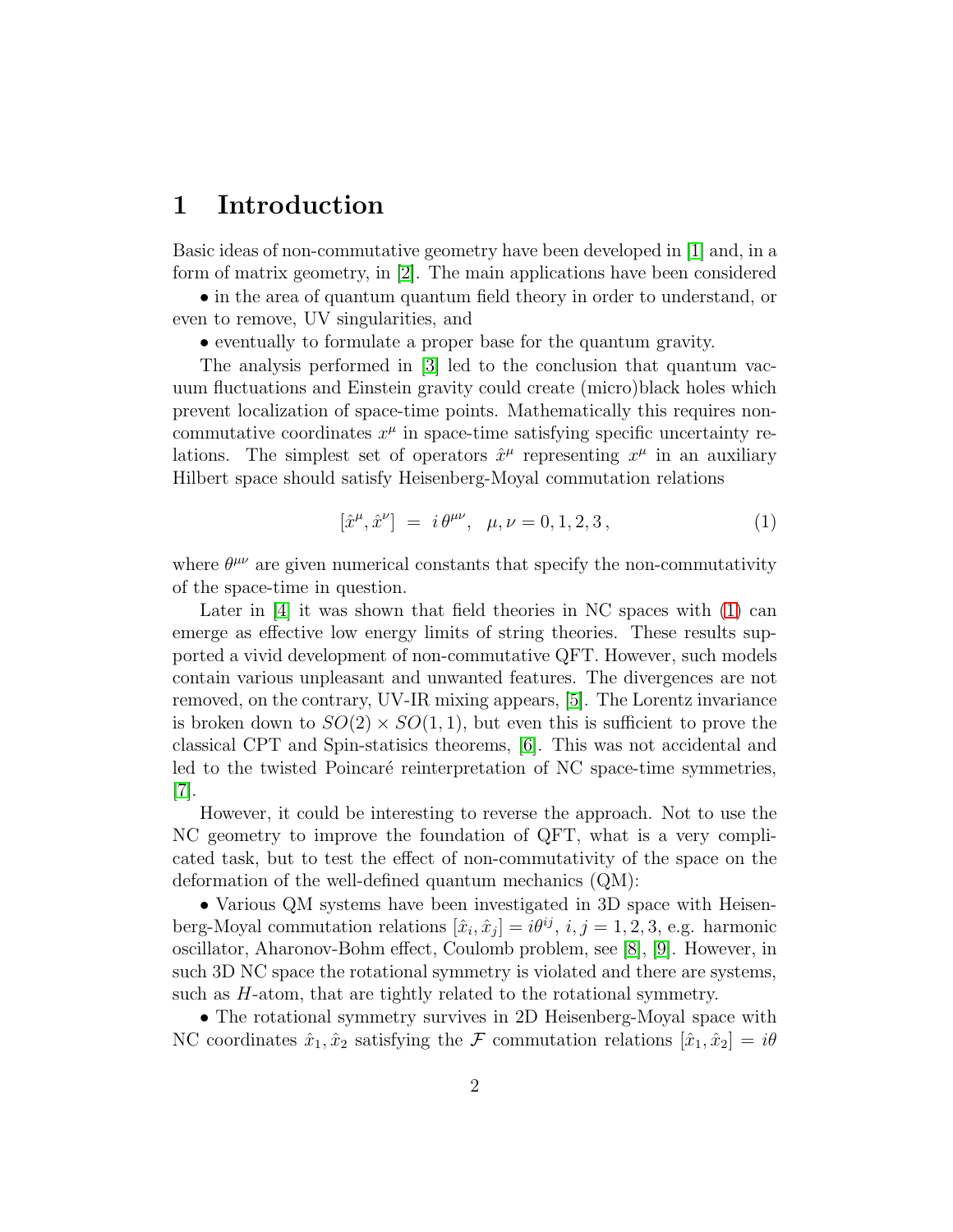### 1 Introduction

Basic ideas of non-commutative geometry have been developed in [\[1\]](#page-16-0) and, in a form of matrix geometry, in [\[2\]](#page-16-1). The main applications have been considered

• in the area of quantum quantum field theory in order to understand, or even to remove, UV singularities, and

• eventually to formulate a proper base for the quantum gravity.

The analysis performed in [\[3\]](#page-16-2) led to the conclusion that quantum vacuum fluctuations and Einstein gravity could create (micro)black holes which prevent localization of space-time points. Mathematically this requires noncommutative coordinates  $x^{\mu}$  in space-time satisfying specific uncertainty relations. The simplest set of operators  $\hat{x}^{\mu}$  representing  $x^{\mu}$  in an auxiliary Hilbert space should satisfy Heisenberg-Moyal commutation relations

<span id="page-1-0"></span>
$$
[\hat{x}^{\mu}, \hat{x}^{\nu}] = i \theta^{\mu\nu}, \ \mu, \nu = 0, 1, 2, 3, \tag{1}
$$

where  $\theta^{\mu\nu}$  are given numerical constants that specify the non-commutativity of the space-time in question.

Later in [\[4\]](#page-16-3) it was shown that field theories in NC spaces with [\(1\)](#page-1-0) can emerge as effective low energy limits of string theories. These results supported a vivid development of non-commutative QFT. However, such models contain various unpleasant and unwanted features. The divergences are not removed, on the contrary, UV-IR mixing appears, [\[5\]](#page-16-4). The Lorentz invariance is broken down to  $SO(2) \times SO(1,1)$ , but even this is sufficient to prove the classical CPT and Spin-statisics theorems, [\[6\]](#page-16-5). This was not accidental and led to the twisted Poincaré reinterpretation of NC space-time symmetries, [\[7\]](#page-16-6).

However, it could be interesting to reverse the approach. Not to use the NC geometry to improve the foundation of QFT, what is a very complicated task, but to test the effect of non-commutativity of the space on the deformation of the well-defined quantum mechanics (QM):

• Various QM systems have been investigated in 3D space with Heisenberg-Moyal commutation relations  $[\hat{x}_i, \hat{x}_j] = i\theta^{ij}, i, j = 1, 2, 3, e.g.$  harmonic oscillator, Aharonov-Bohm effect, Coulomb problem, see [\[8\]](#page-16-7), [\[9\]](#page-16-8). However, in such 3D NC space the rotational symmetry is violated and there are systems, such as H-atom, that are tightly related to the rotational symmetry.

• The rotational symmetry survives in 2D Heisenberg-Moyal space with NC coordinates  $\hat{x}_1, \hat{x}_2$  satisfying the F commutation relations  $[\hat{x}_1, \hat{x}_2] = i\theta$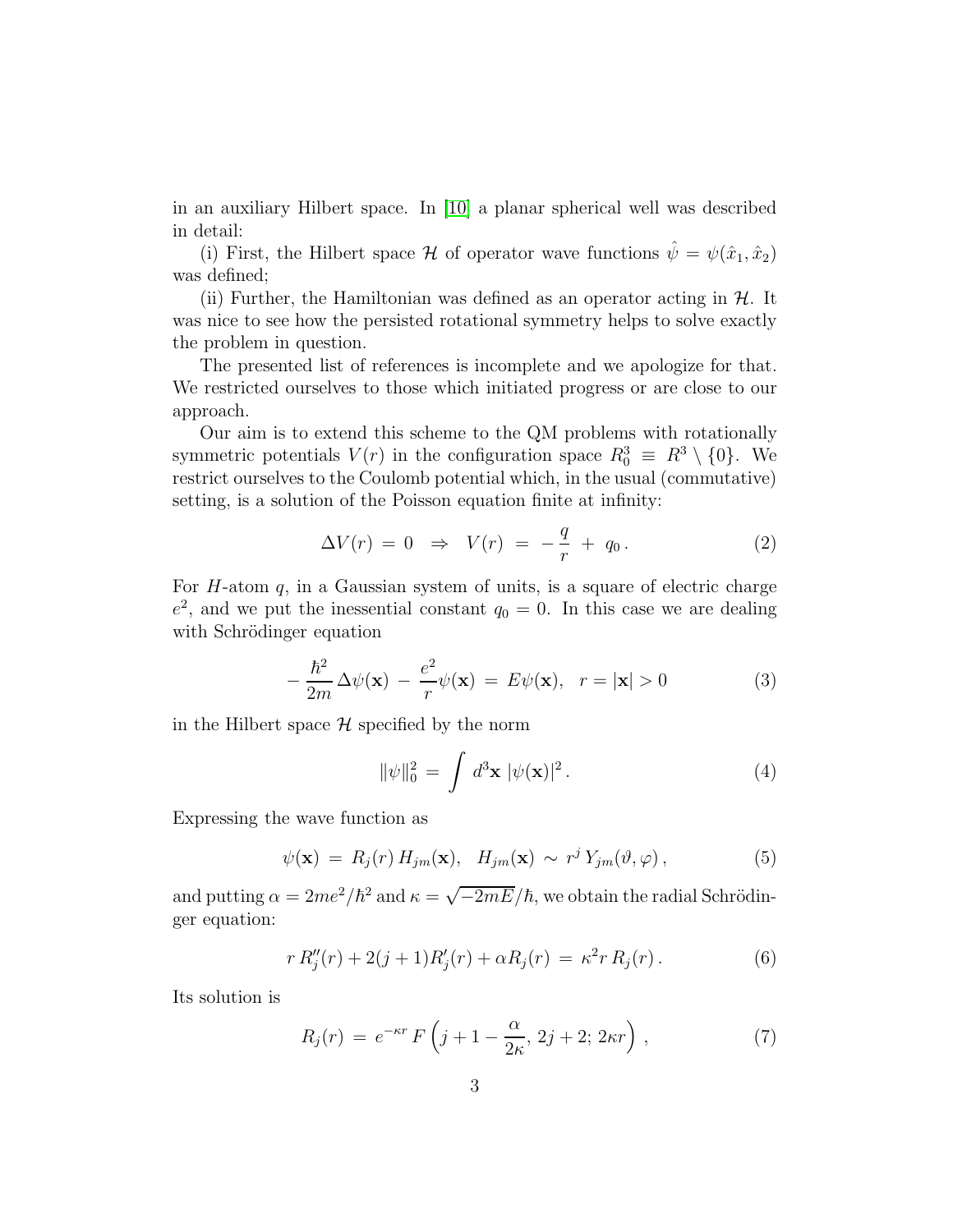in an auxiliary Hilbert space. In [\[10\]](#page-16-9) a planar spherical well was described in detail:

(i) First, the Hilbert space H of operator wave functions  $\hat{\psi} = \psi(\hat{x}_1, \hat{x}_2)$ was defined;

(ii) Further, the Hamiltonian was defined as an operator acting in  $H$ . It was nice to see how the persisted rotational symmetry helps to solve exactly the problem in question.

The presented list of references is incomplete and we apologize for that. We restricted ourselves to those which initiated progress or are close to our approach.

Our aim is to extend this scheme to the QM problems with rotationally symmetric potentials  $V(r)$  in the configuration space  $R_0^3 \equiv R^3 \setminus \{0\}$ . We restrict ourselves to the Coulomb potential which, in the usual (commutative) setting, is a solution of the Poisson equation finite at infinity:

<span id="page-2-0"></span>
$$
\Delta V(r) = 0 \Rightarrow V(r) = -\frac{q}{r} + q_0. \tag{2}
$$

For  $H$ -atom  $q$ , in a Gaussian system of units, is a square of electric charge  $e^2$ , and we put the inessential constant  $q_0 = 0$ . In this case we are dealing with Schrödinger equation

$$
-\frac{\hbar^2}{2m}\Delta\psi(\mathbf{x}) - \frac{e^2}{r}\psi(\mathbf{x}) = E\psi(\mathbf{x}), \quad r = |\mathbf{x}| > 0 \tag{3}
$$

in the Hilbert space  $\mathcal H$  specified by the norm

$$
\|\psi\|_0^2 = \int d^3 \mathbf{x} \ |\psi(\mathbf{x})|^2. \tag{4}
$$

Expressing the wave function as

$$
\psi(\mathbf{x}) = R_j(r) H_{jm}(\mathbf{x}), H_{jm}(\mathbf{x}) \sim r^j Y_{jm}(\vartheta, \varphi), \qquad (5)
$$

and putting  $\alpha = 2me^2/\hbar^2$  and  $\kappa = \sqrt{-2mE}/\hbar$ , we obtain the radial Schrödinger equation:

$$
r R''_j(r) + 2(j+1)R'_j(r) + \alpha R_j(r) = \kappa^2 r R_j(r).
$$
 (6)

Its solution is

<span id="page-2-1"></span>
$$
R_j(r) = e^{-\kappa r} F\left(j + 1 - \frac{\alpha}{2\kappa}, 2j + 2; 2\kappa r\right),\tag{7}
$$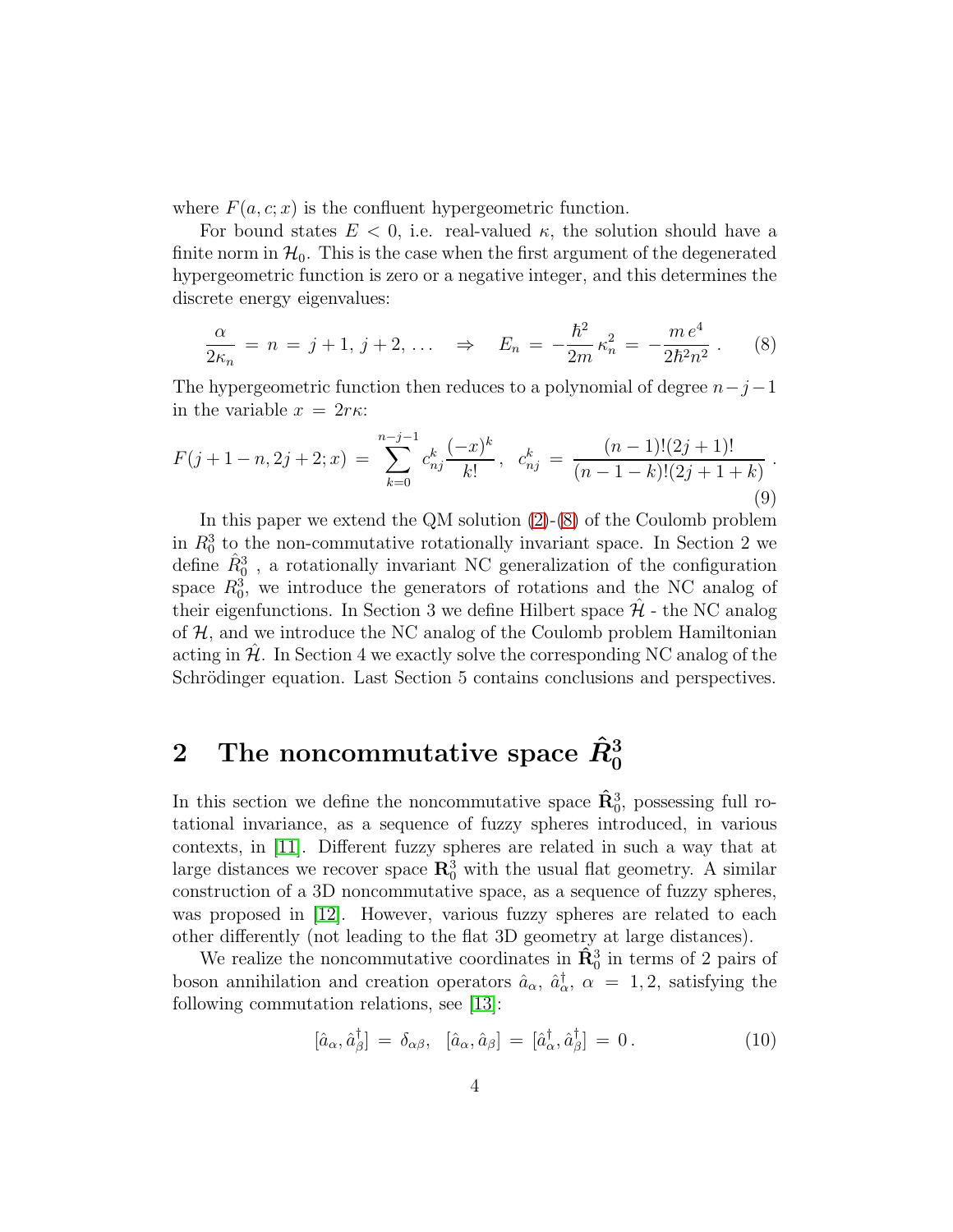where  $F(a, c; x)$  is the confluent hypergeometric function.

For bound states  $E < 0$ , i.e. real-valued  $\kappa$ , the solution should have a finite norm in  $\mathcal{H}_0$ . This is the case when the first argument of the degenerated hypergeometric function is zero or a negative integer, and this determines the discrete energy eigenvalues:

<span id="page-3-0"></span>
$$
\frac{\alpha}{2\kappa_n} = n = j + 1, j + 2, \dots \quad \Rightarrow \quad E_n = -\frac{\hbar^2}{2m} \kappa_n^2 = -\frac{m e^4}{2\hbar^2 n^2} \,. \tag{8}
$$

The hypergeometric function then reduces to a polynomial of degree  $n-j-1$ in the variable  $x = 2r\kappa$ :

<span id="page-3-1"></span>
$$
F(j+1-n,2j+2;x) = \sum_{k=0}^{n-j-1} c_{nj}^k \frac{(-x)^k}{k!}, \quad c_{nj}^k = \frac{(n-1)!(2j+1)!}{(n-1-k)!(2j+1+k)}.
$$
\n(9)

In this paper we extend the QM solution [\(2\)](#page-2-0)-[\(8\)](#page-3-0) of the Coulomb problem in  $R_0^3$  to the non-commutative rotationally invariant space. In Section 2 we define  $\hat{R}_0^3$ , a rotationally invariant NC generalization of the configuration space  $R_0^3$ , we introduce the generators of rotations and the NC analog of their eigenfunctions. In Section 3 we define Hilbert space  $\mathcal{H}$  - the NC analog of  $H$ , and we introduce the NC analog of the Coulomb problem Hamiltonian acting in  $\mathcal{H}$ . In Section 4 we exactly solve the corresponding NC analog of the Schrödinger equation. Last Section 5 contains conclusions and perspectives.

# $2$  The noncommutative space  $\hat{R}^3_0$

In this section we define the noncommutative space  $\hat{\mathbf{R}}_0^3$ , possessing full rotational invariance, as a sequence of fuzzy spheres introduced, in various contexts, in [\[11\]](#page-17-0). Different fuzzy spheres are related in such a way that at large distances we recover space  $\mathbb{R}^3_0$  with the usual flat geometry. A similar construction of a 3D noncommutative space, as a sequence of fuzzy spheres, was proposed in [\[12\]](#page-17-1). However, various fuzzy spheres are related to each other differently (not leading to the flat 3D geometry at large distances).

We realize the noncommutative coordinates in  $\hat{\mathbf{R}}_0^3$  in terms of 2 pairs of boson annihilation and creation operators  $\hat{a}_{\alpha}$ ,  $\hat{a}_{\alpha}^{\dagger}$ ,  $\alpha = 1, 2$ , satisfying the following commutation relations, see [\[13\]](#page-17-2):

$$
[\hat{a}_{\alpha}, \hat{a}_{\beta}^{\dagger}] = \delta_{\alpha\beta}, \quad [\hat{a}_{\alpha}, \hat{a}_{\beta}] = [\hat{a}_{\alpha}^{\dagger}, \hat{a}_{\beta}^{\dagger}] = 0. \tag{10}
$$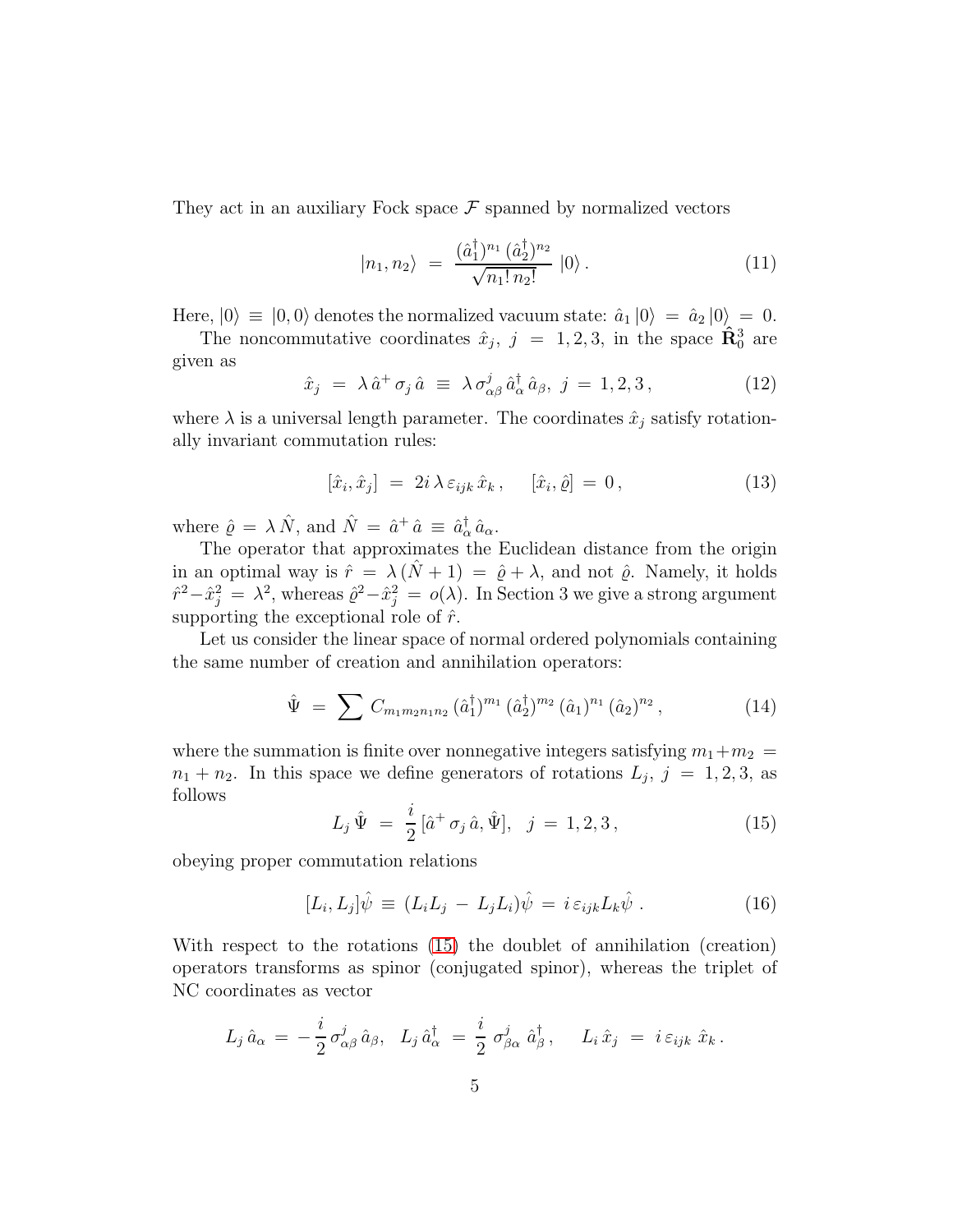They act in an auxiliary Fock space  $\mathcal F$  spanned by normalized vectors

$$
|n_1, n_2\rangle = \frac{(\hat{a}_1^{\dagger})^{n_1} (\hat{a}_2^{\dagger})^{n_2}}{\sqrt{n_1! n_2!}} |0\rangle.
$$
 (11)

Here,  $|0\rangle \equiv |0,0\rangle$  denotes the normalized vacuum state:  $\hat{a}_1 |0\rangle = \hat{a}_2 |0\rangle = 0.$ 

The noncommutative coordinates 
$$
\hat{x}_j
$$
,  $j = 1, 2, 3$ , in the space  $\hat{\mathbf{R}}_0^3$  are given as

$$
\hat{x}_j = \lambda \hat{a}^+ \sigma_j \hat{a} \equiv \lambda \sigma_{\alpha\beta}^j \hat{a}_\alpha^\dagger \hat{a}_\beta, \ j = 1, 2, 3 \,, \tag{12}
$$

where  $\lambda$  is a universal length parameter. The coordinates  $\hat{x}_j$  satisfy rotationally invariant commutation rules:

$$
[\hat{x}_i, \hat{x}_j] = 2i \lambda \varepsilon_{ijk} \hat{x}_k, \quad [\hat{x}_i, \hat{\varrho}] = 0, \tag{13}
$$

where  $\hat{\varrho} = \lambda \hat{N}$ , and  $\hat{N} = \hat{a}^{\dagger} \hat{a} \equiv \hat{a}^{\dagger}_{\alpha} \hat{a}_{\alpha}$ .

The operator that approximates the Euclidean distance from the origin in an optimal way is  $\hat{r} = \lambda (\hat{N} + 1) = \hat{\varrho} + \lambda$ , and not  $\hat{\varrho}$ . Namely, it holds  $\hat{r}^2 - \hat{x}_j^2 = \lambda^2$ , whereas  $\hat{\varrho}^2 - \hat{x}_j^2 = o(\lambda)$ . In Section 3 we give a strong argument supporting the exceptional role of  $\hat{r}$ .

Let us consider the linear space of normal ordered polynomials containing the same number of creation and annihilation operators:

$$
\hat{\Psi} = \sum C_{m_1 m_2 n_1 n_2} (\hat{a}_1^{\dagger})^{m_1} (\hat{a}_2^{\dagger})^{m_2} (\hat{a}_1)^{n_1} (\hat{a}_2)^{n_2}, \qquad (14)
$$

where the summation is finite over nonnegative integers satisfying  $m_1+m_2 =$  $n_1 + n_2$ . In this space we define generators of rotations  $L_j$ ,  $j = 1, 2, 3$ , as follows

<span id="page-4-0"></span>
$$
L_j \,\hat{\Psi} = \frac{i}{2} \left[ \hat{a}^+ \,\sigma_j \,\hat{a}, \hat{\Psi} \right], \quad j = 1, 2, 3 \,, \tag{15}
$$

obeying proper commutation relations

$$
[L_i, L_j]\hat{\psi} \equiv (L_i L_j - L_j L_i)\hat{\psi} = i \varepsilon_{ijk} L_k \hat{\psi} . \qquad (16)
$$

With respect to the rotations [\(15\)](#page-4-0) the doublet of annihilation (creation) operators transforms as spinor (conjugated spinor), whereas the triplet of NC coordinates as vector

$$
L_j \,\hat{a}_\alpha \,=\, -\,\frac{i}{2}\,\sigma^j_{\alpha\beta}\,\hat{a}_\beta,\ \ L_j \,\hat{a}^\dagger_\alpha \;=\, \frac{i}{2}\,\,\sigma^j_{\beta\alpha}\,\,\hat{a}^\dagger_\beta\,,\quad \ L_i \,\hat{x}_j \;=\, \,i\,\varepsilon_{ijk}\,\,\hat{x}_k\,.
$$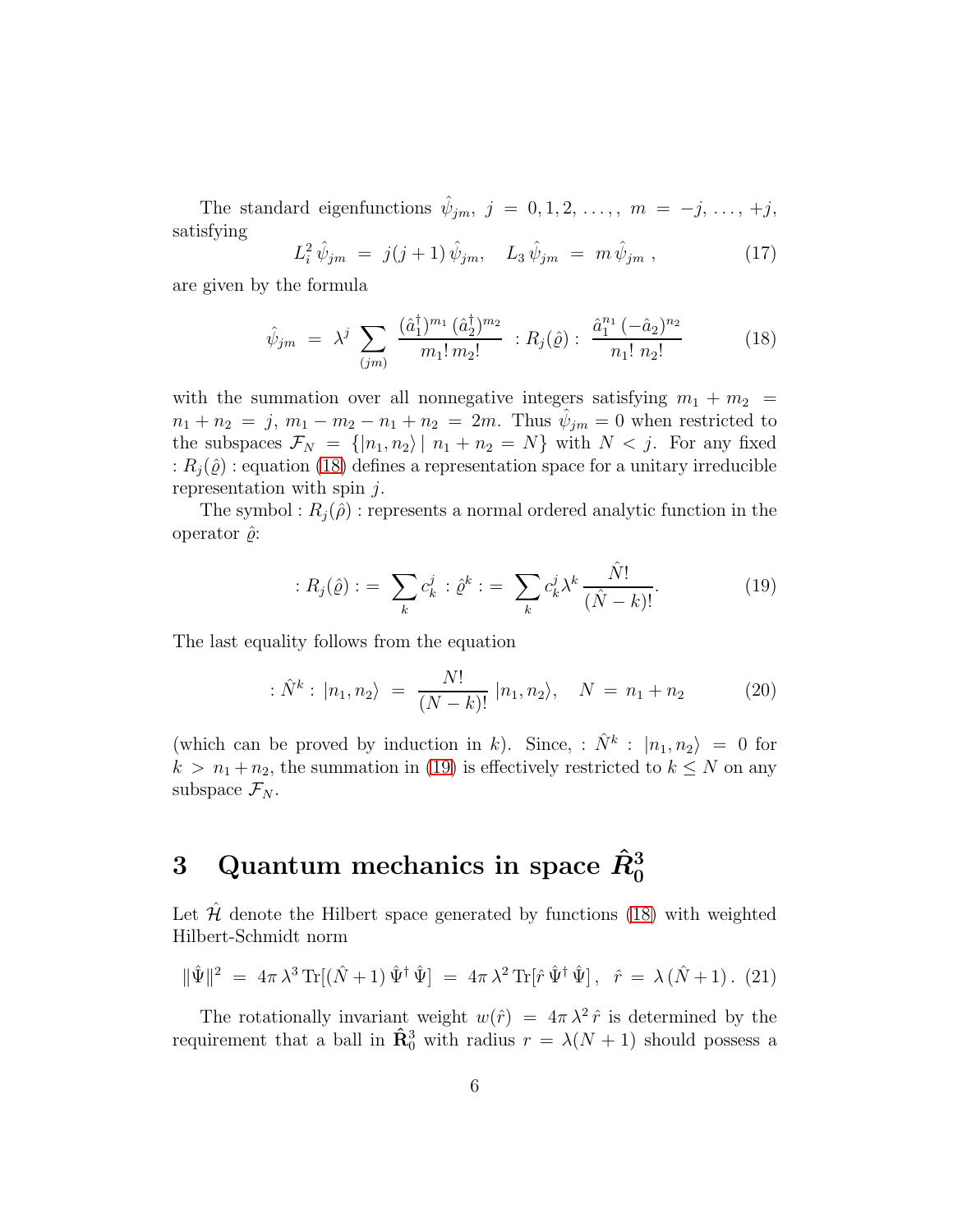The standard eigenfunctions  $\hat{\psi}_{jm}, j = 0, 1, 2, ..., m = -j, ..., +j$ , satisfying

$$
L_i^2 \,\hat{\psi}_{jm} = j(j+1) \,\hat{\psi}_{jm}, \quad L_3 \,\hat{\psi}_{jm} = m \,\hat{\psi}_{jm} \,, \tag{17}
$$

are given by the formula

<span id="page-5-0"></span>
$$
\hat{\psi}_{jm} = \lambda^j \sum_{(jm)} \frac{(\hat{a}_1^{\dagger})^{m_1} (\hat{a}_2^{\dagger})^{m_2}}{m_1! \, m_2!} : R_j(\hat{\varrho}) : \frac{\hat{a}_1^{n_1} \, (-\hat{a}_2)^{n_2}}{n_1! \, n_2!} \tag{18}
$$

with the summation over all nonnegative integers satisfying  $m_1 + m_2 =$  $n_1 + n_2 = j, m_1 - m_2 - n_1 + n_2 = 2m$ . Thus  $\hat{\psi}_{jm} = 0$  when restricted to the subspaces  $\mathcal{F}_N = \{ |n_1, n_2\rangle | n_1 + n_2 = N \}$  with  $N < j$ . For any fixed :  $R_i(\hat{\varrho})$  : equation [\(18\)](#page-5-0) defines a representation space for a unitary irreducible representation with spin  $i$ .

The symbol :  $R_j(\hat{\rho})$  : represents a normal ordered analytic function in the operator  $\hat{\rho}$ :

<span id="page-5-1"></span>
$$
: R_j(\hat{\varrho}) : = \sum_{k} c_k^j : \hat{\varrho}^k : = \sum_{k} c_k^j \lambda^k \frac{\hat{N}!}{(\hat{N} - k)!}.
$$
 (19)

The last equality follows from the equation

<span id="page-5-3"></span>
$$
\hat{N}^{k}: |n_{1}, n_{2}\rangle = \frac{N!}{(N-k)!} |n_{1}, n_{2}\rangle, \quad N = n_{1} + n_{2} \tag{20}
$$

(which can be proved by induction in k). Since, :  $\hat{N}^k$  :  $|n_1, n_2\rangle = 0$  for  $k > n_1 + n_2$ , the summation in [\(19\)](#page-5-1) is effectively restricted to  $k \leq N$  on any subspace  $\mathcal{F}_N$ .

# 3 Quantum mechanics in space  $\hat{R}^3_0$

Let  $\hat{\mathcal{H}}$  denote the Hilbert space generated by functions [\(18\)](#page-5-0) with weighted Hilbert-Schmidt norm

<span id="page-5-2"></span>
$$
\|\hat{\Psi}\|^2 = 4\pi \lambda^3 \text{Tr}[(\hat{N} + 1)\hat{\Psi}^{\dagger}\hat{\Psi}] = 4\pi \lambda^2 \text{Tr}[\hat{r}\hat{\Psi}^{\dagger}\hat{\Psi}], \quad \hat{r} = \lambda(\hat{N} + 1). (21)
$$

The rotationally invariant weight  $w(\hat{r}) = 4\pi \lambda^2 \hat{r}$  is determined by the requirement that a ball in  $\hat{\mathbf{R}}_0^3$  with radius  $r = \lambda(N+1)$  should possess a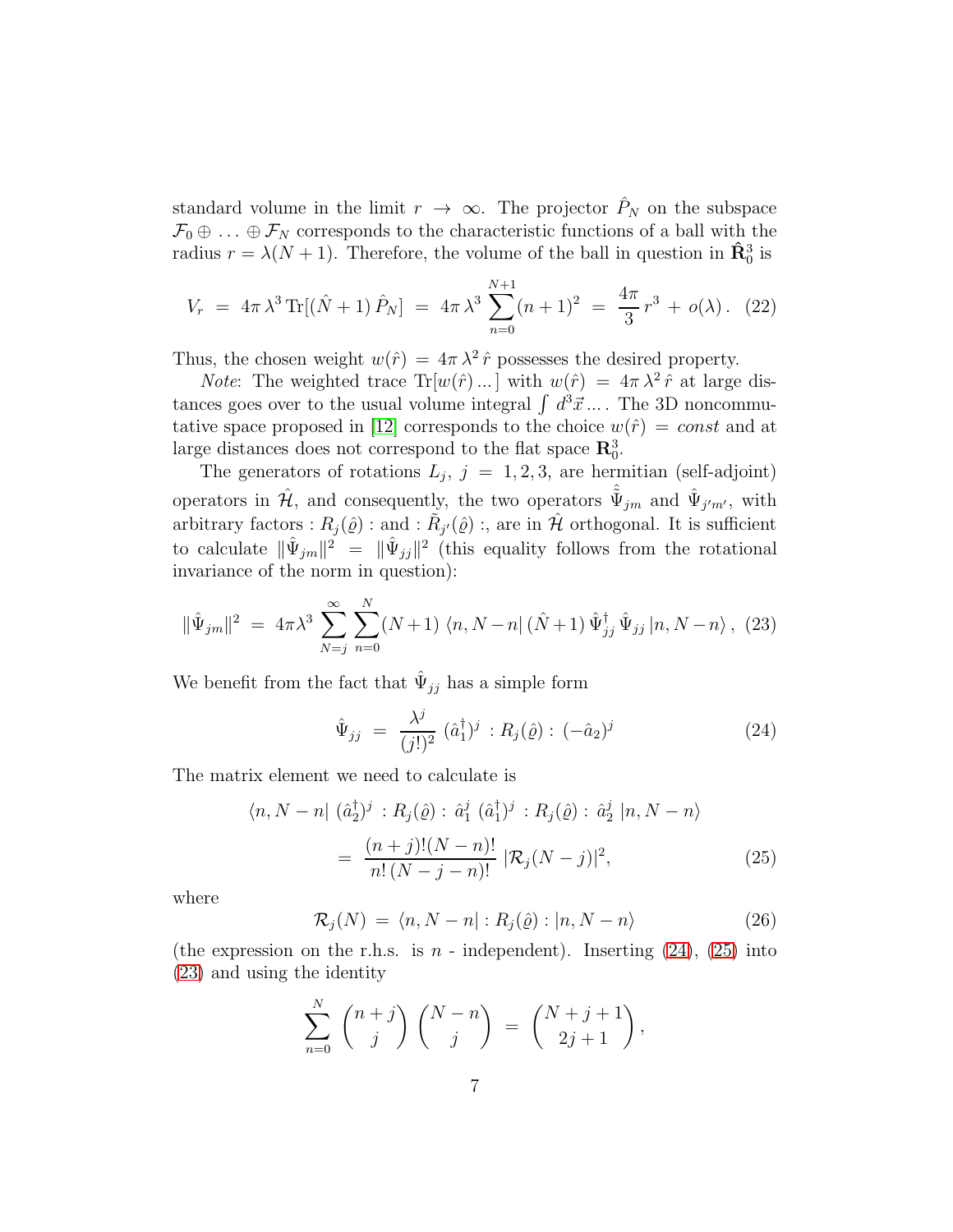standard volume in the limit  $r \to \infty$ . The projector  $\hat{P}_N$  on the subspace  $\mathcal{F}_0 \oplus \ldots \oplus \mathcal{F}_N$  corresponds to the characteristic functions of a ball with the radius  $r = \lambda(N + 1)$ . Therefore, the volume of the ball in question in  $\hat{\mathbf{R}}_0^3$  is

$$
V_r = 4\pi \lambda^3 \text{Tr}[(\hat{N} + 1) \hat{P}_N] = 4\pi \lambda^3 \sum_{n=0}^{N+1} (n+1)^2 = \frac{4\pi}{3} r^3 + o(\lambda). \tag{22}
$$

Thus, the chosen weight  $w(\hat{r}) = 4\pi \lambda^2 \hat{r}$  possesses the desired property.

*Note*: The weighted trace  $Tr[w(\hat{r})...]$  with  $w(\hat{r}) = 4\pi \lambda^2 \hat{r}$  at large distances goes over to the usual volume integral  $\int d^3\vec{x} ...$ . The 3D noncommu-tative space proposed in [\[12\]](#page-17-1) corresponds to the choice  $w(\hat{r}) = const$  and at large distances does not correspond to the flat space  $\mathbb{R}^3_0$ .

The generators of rotations  $L_j$ ,  $j = 1, 2, 3$ , are hermitian (self-adjoint) operators in  $\hat{\mathcal{H}}$ , and consequently, the two operators  $\hat{\tilde{\Psi}}_{jm}$  and  $\hat{\Psi}_{j'm'}$ , with arbitrary factors :  $R_j(\hat{\varrho})$  : and :  $\tilde{R}_{j'}(\hat{\varrho})$  :, are in  $\hat{\mathcal{H}}$  orthogonal. It is sufficient to calculate  $\|\hat{\Psi}_{jm}\|^2 = \|\hat{\Psi}_{jj}\|^2$  (this equality follows from the rotational invariance of the norm in question):

<span id="page-6-2"></span>
$$
\|\hat{\Psi}_{jm}\|^2 \ = \ 4\pi\lambda^3 \sum_{N=j}^{\infty} \sum_{n=0}^{N} (N+1) \ \langle n, N-n | \ (\hat{N}+1) \ \hat{\Psi}_{jj}^{\dagger} \ \hat{\Psi}_{jj} | n, N-n \rangle \, , \ (23)
$$

We benefit from the fact that  $\hat{\Psi}_{jj}$  has a simple form

<span id="page-6-0"></span>
$$
\hat{\Psi}_{jj} = \frac{\lambda^j}{(j!)^2} (\hat{a}_1^{\dagger})^j : R_j(\hat{\varrho}) : (-\hat{a}_2)^j \tag{24}
$$

The matrix element we need to calculate is

$$
\langle n, N - n | (\hat{a}_2^{\dagger})^j : R_j(\hat{\varrho}) : \hat{a}_1^j (\hat{a}_1^{\dagger})^j : R_j(\hat{\varrho}) : \hat{a}_2^j | n, N - n \rangle
$$
  
= 
$$
\frac{(n+j)!(N-n)!}{n!(N-j-n)!} |\mathcal{R}_j(N-j)|^2,
$$
 (25)

where

<span id="page-6-1"></span>
$$
\mathcal{R}_j(N) = \langle n, N - n | : R_j(\hat{\varrho}) : |n, N - n \rangle \tag{26}
$$

(the expression on the r.h.s. is  $n$  - independent). Inserting  $(24)$ ,  $(25)$  into [\(23\)](#page-6-2) and using the identity

$$
\sum_{n=0}^{N} {n+j \choose j} {N-n \choose j} = {N+j+1 \choose 2j+1},
$$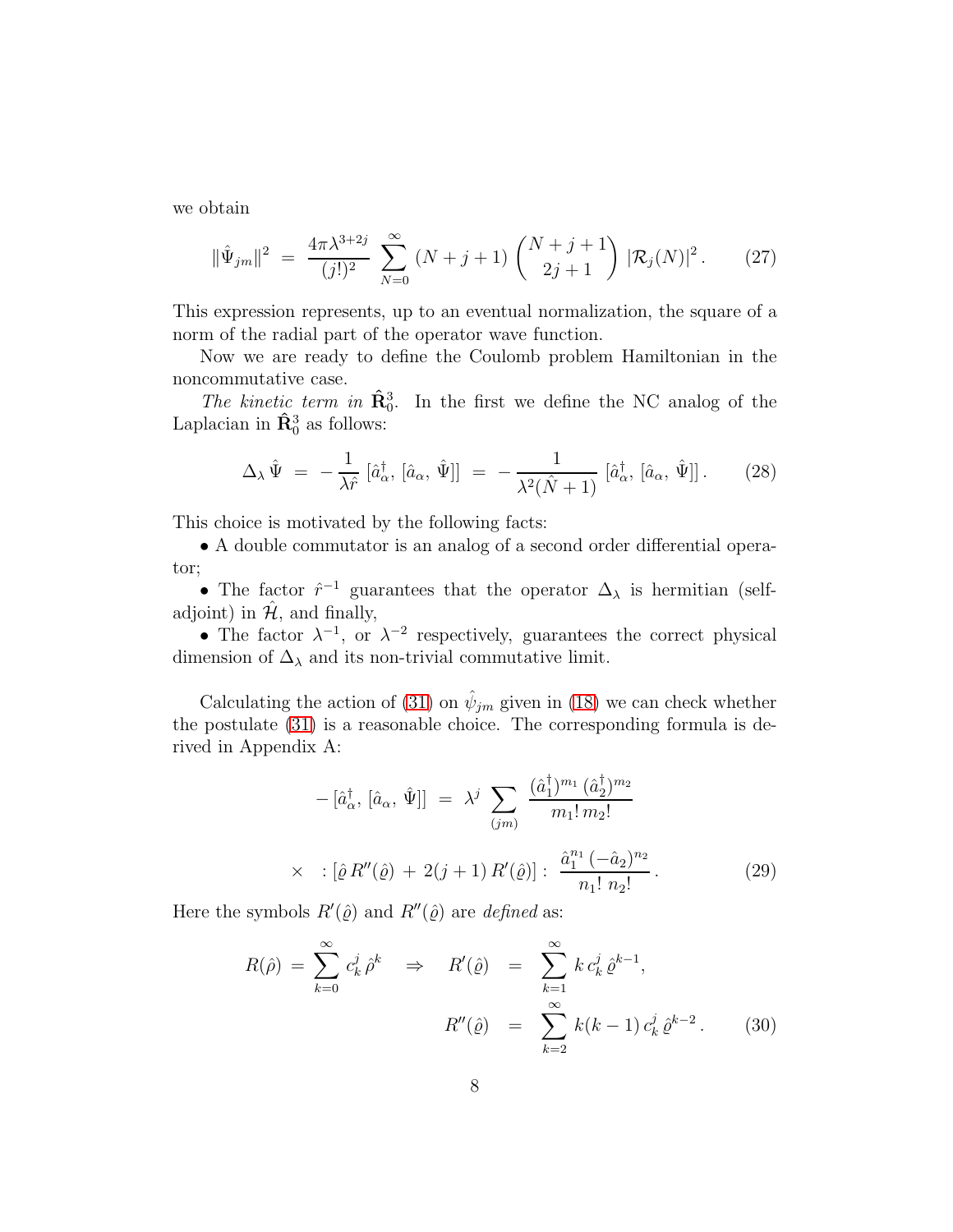we obtain

<span id="page-7-1"></span>
$$
\|\hat{\Psi}_{jm}\|^2 = \frac{4\pi\lambda^{3+2j}}{(j!)^2} \sum_{N=0}^{\infty} (N+j+1) \binom{N+j+1}{2j+1} |\mathcal{R}_j(N)|^2.
$$
 (27)

This expression represents, up to an eventual normalization, the square of a norm of the radial part of the operator wave function.

Now we are ready to define the Coulomb problem Hamiltonian in the noncommutative case.

The kinetic term in  $\hat{\mathbf{R}}_0^3$ . In the first we define the NC analog of the Laplacian in  $\hat{\mathbf{R}}_0^3$  as follows:

$$
\Delta_{\lambda}\,\hat{\Psi} = -\frac{1}{\lambda\hat{r}}\left[\hat{a}_{\alpha}^{\dagger},\left[\hat{a}_{\alpha},\,\hat{\Psi}\right]\right] = -\frac{1}{\lambda^{2}(\hat{N}+1)}\left[\hat{a}_{\alpha}^{\dagger},\left[\hat{a}_{\alpha},\,\hat{\Psi}\right]\right].\tag{28}
$$

This choice is motivated by the following facts:

• A double commutator is an analog of a second order differential operator;

• The factor  $\hat{r}^{-1}$  guarantees that the operator  $\Delta_{\lambda}$  is hermitian (selfadjoint) in  $\mathcal{H}$ , and finally,

• The factor  $\lambda^{-1}$ , or  $\lambda^{-2}$  respectively, guarantees the correct physical dimension of  $\Delta_{\lambda}$  and its non-trivial commutative limit.

Calculating the action of [\(31\)](#page-8-0) on  $\hat{\psi}_{jm}$  given in [\(18\)](#page-5-0) we can check whether the postulate [\(31\)](#page-8-0) is a reasonable choice. The corresponding formula is derived in Appendix A:

<span id="page-7-0"></span>
$$
- [\hat{a}_{\alpha}^{\dagger}, [\hat{a}_{\alpha}, \hat{\Psi}]] = \lambda^{j} \sum_{(jm)} \frac{(\hat{a}_{1}^{\dagger})^{m_{1}} (\hat{a}_{2}^{\dagger})^{m_{2}}}{m_{1}! m_{2}!}
$$
  
 
$$
\times \quad : [\hat{\varrho} R''(\hat{\varrho}) + 2(j+1) R'(\hat{\varrho})] : \frac{\hat{a}_{1}^{n_{1}} (-\hat{a}_{2})^{n_{2}}}{n_{1}! n_{2}!}.
$$
 (29)

Here the symbols  $R'(\hat{\varrho})$  and  $R''(\hat{\varrho})$  are *defined* as:

$$
R(\hat{\rho}) = \sum_{k=0}^{\infty} c_k^j \hat{\rho}^k \implies R'(\hat{\varrho}) = \sum_{k=1}^{\infty} k c_k^j \hat{\varrho}^{k-1},
$$
  

$$
R''(\hat{\varrho}) = \sum_{k=2}^{\infty} k(k-1) c_k^j \hat{\varrho}^{k-2}.
$$
 (30)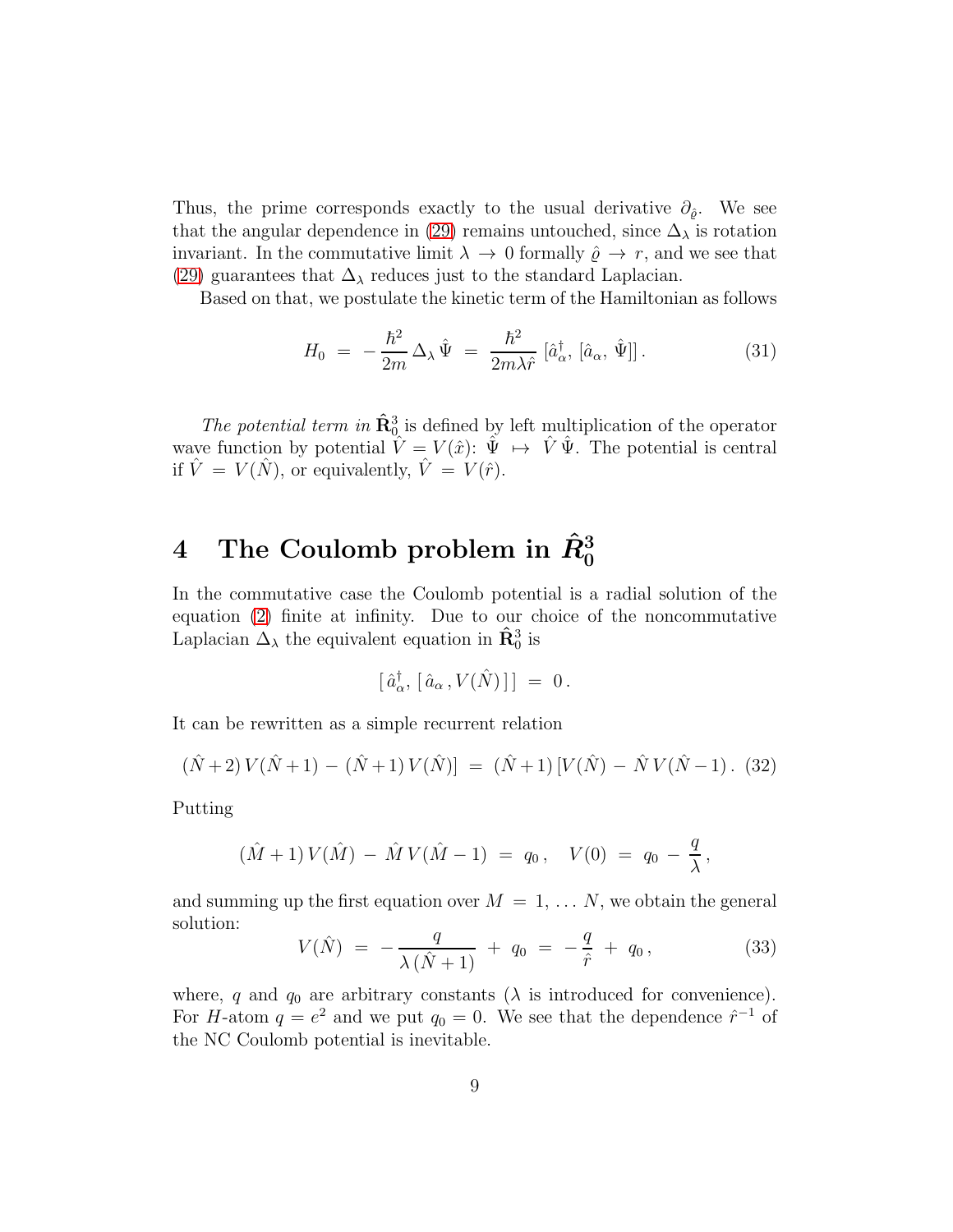Thus, the prime corresponds exactly to the usual derivative  $\partial_{\hat{\rho}}$ . We see that the angular dependence in [\(29\)](#page-7-0) remains untouched, since  $\Delta_{\lambda}$  is rotation invariant. In the commutative limit  $\lambda \to 0$  formally  $\hat{\varrho} \to r$ , and we see that [\(29\)](#page-7-0) guarantees that  $\Delta_{\lambda}$  reduces just to the standard Laplacian.

Based on that, we postulate the kinetic term of the Hamiltonian as follows

<span id="page-8-0"></span>
$$
H_0 = -\frac{\hbar^2}{2m} \Delta_\lambda \hat{\Psi} = \frac{\hbar^2}{2m\lambda \hat{r}} \left[ \hat{a}_\alpha^\dagger, \left[ \hat{a}_\alpha, \hat{\Psi} \right] \right]. \tag{31}
$$

The potential term in  $\hat{\mathbf{R}}_{0}^{3}$  is defined by left multiplication of the operator wave function by potential  $\hat{V} = V(\hat{x})$ :  $\hat{\Psi} \mapsto \hat{V} \hat{\Psi}$ . The potential is central if  $\hat{V} = V(\hat{N})$ , or equivalently,  $\hat{V} = V(\hat{r})$ .

# $4$  The Coulomb problem in  $\hat{R}^3_0$

In the commutative case the Coulomb potential is a radial solution of the equation [\(2\)](#page-2-0) finite at infinity. Due to our choice of the noncommutative Laplacian  $\Delta_{\lambda}$  the equivalent equation in  $\hat{\mathbf{R}}_0^3$  is

$$
[\,\hat{a}^\dagger_\alpha,\,[\,\hat{a}_\alpha\,,V(\hat{N})\,]\,]\;=\;0\,.
$$

It can be rewritten as a simple recurrent relation

$$
(\hat{N}+2)V(\hat{N}+1) - (\hat{N}+1)V(\hat{N}) = (\hat{N}+1)[V(\hat{N}) - \hat{N}V(\hat{N}-1). (32)
$$

Putting

$$
(\hat{M} + 1) V(\hat{M}) - \hat{M} V(\hat{M} - 1) = q_0, \quad V(0) = q_0 - \frac{q}{\lambda},
$$

and summing up the first equation over  $M = 1, \ldots N$ , we obtain the general solution:

$$
V(\hat{N}) = -\frac{q}{\lambda(\hat{N}+1)} + q_0 = -\frac{q}{\hat{r}} + q_0, \qquad (33)
$$

where, q and  $q_0$  are arbitrary constants ( $\lambda$  is introduced for convenience). For H-atom  $q = e^2$  and we put  $q_0 = 0$ . We see that the dependence  $\hat{r}^{-1}$  of the NC Coulomb potential is inevitable.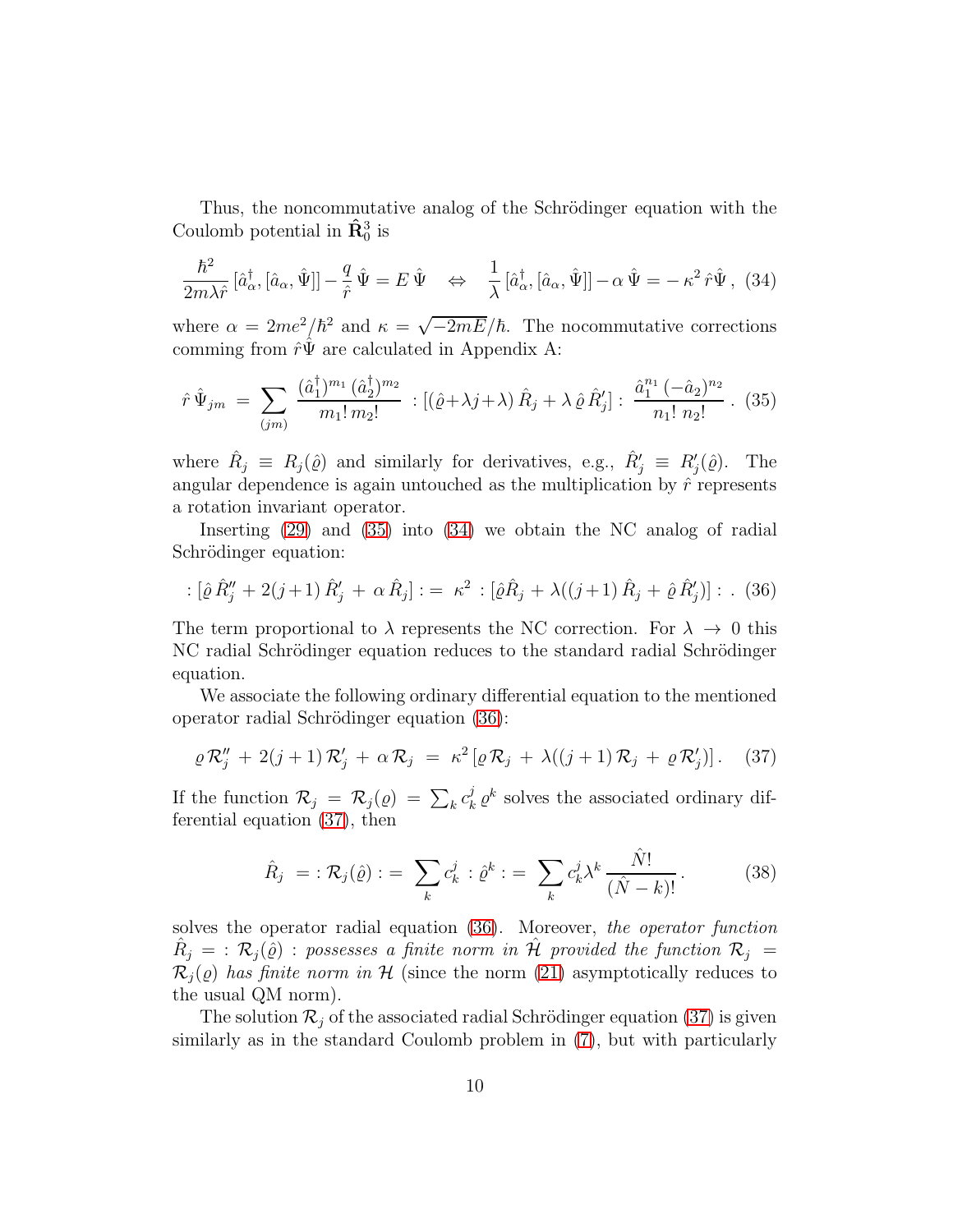Thus, the noncommutative analog of the Schrödinger equation with the Coulomb potential in  $\hat{\mathbf{R}}_0^3$  is

<span id="page-9-1"></span>
$$
\frac{\hbar^2}{2m\lambda\hat{r}}\left[\hat{a}_{\alpha}^{\dagger},\left[\hat{a}_{\alpha},\hat{\Psi}\right]\right]-\frac{q}{\hat{r}}\hat{\Psi}=E\hat{\Psi}\quad\Leftrightarrow\quad\frac{1}{\lambda}\left[\hat{a}_{\alpha}^{\dagger},\left[\hat{a}_{\alpha},\hat{\Psi}\right]\right]-\alpha\hat{\Psi}=-\kappa^2\hat{r}\hat{\Psi},\tag{34}
$$

where  $\alpha = 2me^2/\hbar^2$  and  $\kappa = \sqrt{-2mE}/\hbar$ . The nocommutative corrections comming from  $\hat{r}\Psi$  are calculated in Appendix A:

<span id="page-9-0"></span>
$$
\hat{r}\,\hat{\Psi}_{jm} = \sum_{(jm)} \frac{(\hat{a}_1^{\dagger})^{m_1} (\hat{a}_2^{\dagger})^{m_2}}{m_1! \, m_2!} : [(\hat{\varrho} + \lambda j + \lambda) \,\hat{R}_j + \lambda \,\hat{\varrho}\,\hat{R}'_j] : \frac{\hat{a}_1^{n_1} \, (-\hat{a}_2)^{n_2}}{n_1! \, n_2!} \,. \tag{35}
$$

where  $\hat{R}_j \equiv R_j(\hat{\varrho})$  and similarly for derivatives, e.g.,  $\hat{R}'_j \equiv R'_j(\hat{\varrho})$ . The angular dependence is again untouched as the multiplication by  $\hat{r}$  represents a rotation invariant operator.

Inserting [\(29\)](#page-7-0) and [\(35\)](#page-9-0) into [\(34\)](#page-9-1) we obtain the NC analog of radial Schrödinger equation:

<span id="page-9-2"></span>: 
$$
[\hat{\varrho}\,\hat{R}''_j + 2(j+1)\,\hat{R}'_j + \alpha\,\hat{R}_j] := \kappa^2 : [\hat{\varrho}\hat{R}_j + \lambda((j+1)\,\hat{R}_j + \hat{\varrho}\,\hat{R}'_j)] : . \tag{36}
$$

The term proportional to  $\lambda$  represents the NC correction. For  $\lambda \to 0$  this NC radial Schrödinger equation reduces to the standard radial Schrödinger equation.

We associate the following ordinary differential equation to the mentioned operator radial Schrödinger equation [\(36\)](#page-9-2):

<span id="page-9-3"></span>
$$
\varrho \mathcal{R}_j'' + 2(j+1)\mathcal{R}_j' + \alpha \mathcal{R}_j = \kappa^2 [\varrho \mathcal{R}_j + \lambda((j+1)\mathcal{R}_j + \varrho \mathcal{R}_j')] \,. \tag{37}
$$

If the function  $\mathcal{R}_j = \mathcal{R}_j(\varrho) = \sum_k c_k^j$  $\int_{k}^{j} \varrho^{k}$  solves the associated ordinary differential equation [\(37\)](#page-9-3), then

$$
\hat{R}_j = \mathcal{R}_j(\hat{\varrho}) := \sum_k c_k^j \mathcal{Q}^k := \sum_k c_k^j \lambda^k \frac{\hat{N}!}{(\hat{N}-k)!}.
$$
 (38)

solves the operator radial equation [\(36\)](#page-9-2). Moreover, the operator function  $\hat{R}_j \ = \ : \ {\cal R}_j (\hat{\varrho}) \ : \ {\it possess} \ es \ a \ finite \ norm \ \ in \ \hat{\cal H} \ \ {\it provided \ the \ function} \ \ {\cal R}_j \ =$  $\mathcal{R}_i(\varrho)$  has finite norm in H (since the norm [\(21\)](#page-5-2) asymptotically reduces to the usual QM norm).

The solution  $\mathcal{R}_i$  of the associated radial Schrödinger equation [\(37\)](#page-9-3) is given similarly as in the standard Coulomb problem in [\(7\)](#page-2-1), but with particularly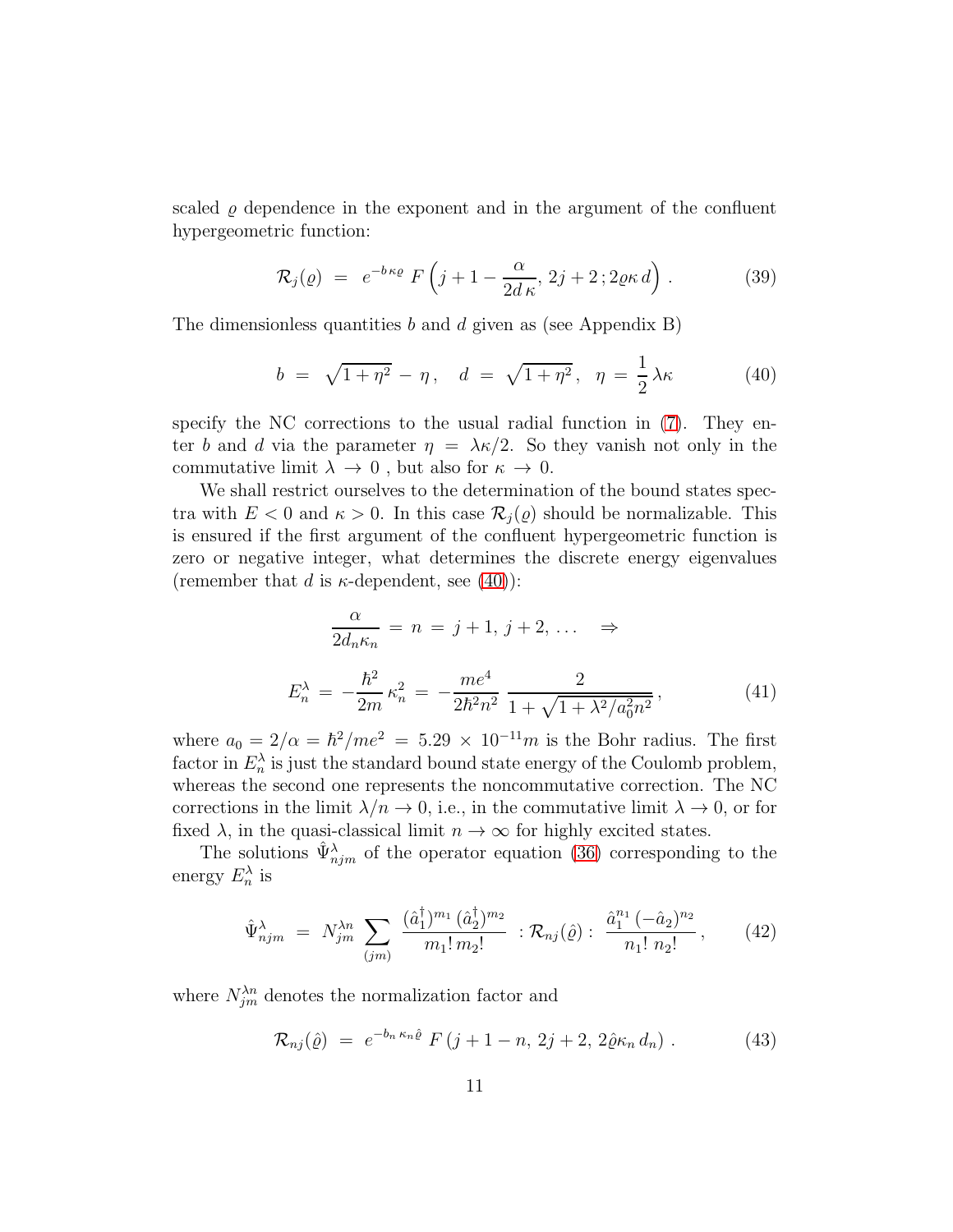scaled  $\varrho$  dependence in the exponent and in the argument of the confluent hypergeometric function:

<span id="page-10-4"></span>
$$
\mathcal{R}_j(\varrho) = e^{-b\kappa\varrho} F\left(j+1-\frac{\alpha}{2d\kappa}, 2j+2; 2\varrho\kappa d\right).
$$
 (39)

The dimensionless quantities  $b$  and  $d$  given as (see Appendix B)

<span id="page-10-0"></span>
$$
b = \sqrt{1 + \eta^2} - \eta
$$
,  $d = \sqrt{1 + \eta^2}$ ,  $\eta = \frac{1}{2}\lambda\kappa$  (40)

specify the NC corrections to the usual radial function in [\(7\)](#page-2-1). They enter b and d via the parameter  $\eta = \lambda \kappa/2$ . So they vanish not only in the commutative limit  $\lambda \to 0$ , but also for  $\kappa \to 0$ .

We shall restrict ourselves to the determination of the bound states spectra with  $E < 0$  and  $\kappa > 0$ . In this case  $\mathcal{R}_i(\varrho)$  should be normalizable. This is ensured if the first argument of the confluent hypergeometric function is zero or negative integer, what determines the discrete energy eigenvalues (remember that d is  $\kappa$ -dependent, see [\(40\)](#page-10-0)):

<span id="page-10-1"></span>
$$
\frac{\alpha}{2d_n\kappa_n} = n = j + 1, j + 2, \dots \implies
$$
  

$$
E_n^{\lambda} = -\frac{\hbar^2}{2m}\kappa_n^2 = -\frac{me^4}{2\hbar^2n^2}\frac{2}{1 + \sqrt{1 + \lambda^2/a_0^2n^2}},
$$
(41)

where  $a_0 = 2/\alpha = \hbar^2/m e^2 = 5.29 \times 10^{-11} m$  is the Bohr radius. The first factor in  $E_n^{\lambda}$  is just the standard bound state energy of the Coulomb problem, whereas the second one represents the noncommutative correction. The NC corrections in the limit  $\lambda/n \to 0$ , i.e., in the commutative limit  $\lambda \to 0$ , or for fixed  $\lambda$ , in the quasi-classical limit  $n \to \infty$  for highly excited states.

The solutions  $\hat{\Psi}_{njm}^{\lambda}$  of the operator equation [\(36\)](#page-9-2) corresponding to the energy  $E_n^{\lambda}$  is

<span id="page-10-2"></span>
$$
\hat{\Psi}_{njm}^{\lambda} = N_{jm}^{\lambda n} \sum_{(jm)} \frac{(\hat{a}_1^{\dagger})^{m_1} (\hat{a}_2^{\dagger})^{m_2}}{m_1! m_2!} : \mathcal{R}_{nj}(\hat{\varrho}) : \frac{\hat{a}_1^{n_1} (-\hat{a}_2)^{n_2}}{n_1! n_2!}, \qquad (42)
$$

where  $N_{jm}^{\lambda n}$  denotes the normalization factor and

<span id="page-10-3"></span>
$$
\mathcal{R}_{nj}(\hat{\varrho}) = e^{-b_n \kappa_n \hat{\varrho}} F(j+1-n, 2j+2, 2\hat{\varrho} \kappa_n d_n) . \tag{43}
$$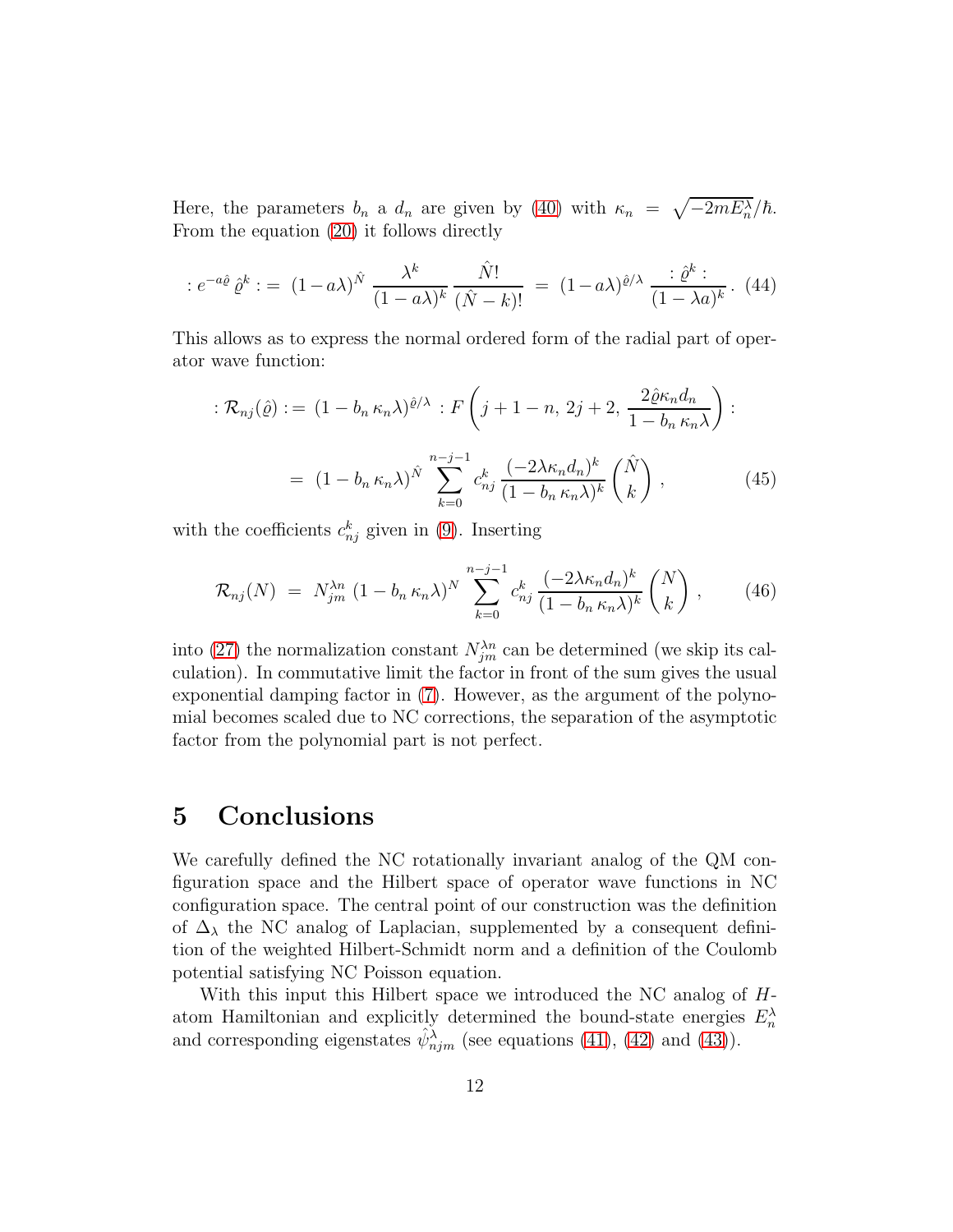Here, the parameters  $b_n$  a  $d_n$  are given by [\(40\)](#page-10-0) with  $\kappa_n = \sqrt{-2mE_n^{\lambda}}/\hbar$ . From the equation [\(20\)](#page-5-3) it follows directly

$$
: e^{-a\hat{\varrho}}\hat{\varrho}^k := (1-a\lambda)^{\hat{N}} \frac{\lambda^k}{(1-a\lambda)^k} \frac{\hat{N}!}{(\hat{N}-k)!} = (1-a\lambda)^{\hat{\varrho}/\lambda} \frac{\hat{\varrho}^k}{(1-\lambda a)^k} . \tag{44}
$$

This allows as to express the normal ordered form of the radial part of operator wave function:

$$
\mathcal{R}_{nj}(\hat{\varrho}) := (1 - b_n \kappa_n \lambda)^{\hat{\varrho}/\lambda} : F\left(j + 1 - n, 2j + 2, \frac{2\hat{\varrho}\kappa_n d_n}{1 - b_n \kappa_n \lambda}\right) :
$$
  
= 
$$
(1 - b_n \kappa_n \lambda)^{\hat{N}} \sum_{k=0}^{n-j-1} c_{nj}^k \frac{(-2\lambda \kappa_n d_n)^k}{(1 - b_n \kappa_n \lambda)^k} \binom{\hat{N}}{k},
$$
(45)

with the coefficients  $c_{nj}^k$  given in [\(9\)](#page-3-1). Inserting

$$
\mathcal{R}_{nj}(N) = N_{jm}^{\lambda n} (1 - b_n \kappa_n \lambda)^N \sum_{k=0}^{n-j-1} c_{nj}^k \frac{(-2\lambda \kappa_n d_n)^k}{(1 - b_n \kappa_n \lambda)^k} {N \choose k}, \qquad (46)
$$

into [\(27\)](#page-7-1) the normalization constant  $N_{jm}^{\lambda n}$  can be determined (we skip its calculation). In commutative limit the factor in front of the sum gives the usual exponential damping factor in [\(7\)](#page-2-1). However, as the argument of the polynomial becomes scaled due to NC corrections, the separation of the asymptotic factor from the polynomial part is not perfect.

### 5 Conclusions

We carefully defined the NC rotationally invariant analog of the QM configuration space and the Hilbert space of operator wave functions in NC configuration space. The central point of our construction was the definition of  $\Delta_{\lambda}$  the NC analog of Laplacian, supplemented by a consequent definition of the weighted Hilbert-Schmidt norm and a definition of the Coulomb potential satisfying NC Poisson equation.

With this input this Hilbert space we introduced the NC analog of Hatom Hamiltonian and explicitly determined the bound-state energies  $E_n^{\lambda}$ and corresponding eigenstates  $\hat{\psi}_{njm}^{\lambda}$  (see equations [\(41\)](#page-10-1), [\(42\)](#page-10-2) and [\(43\)](#page-10-3)).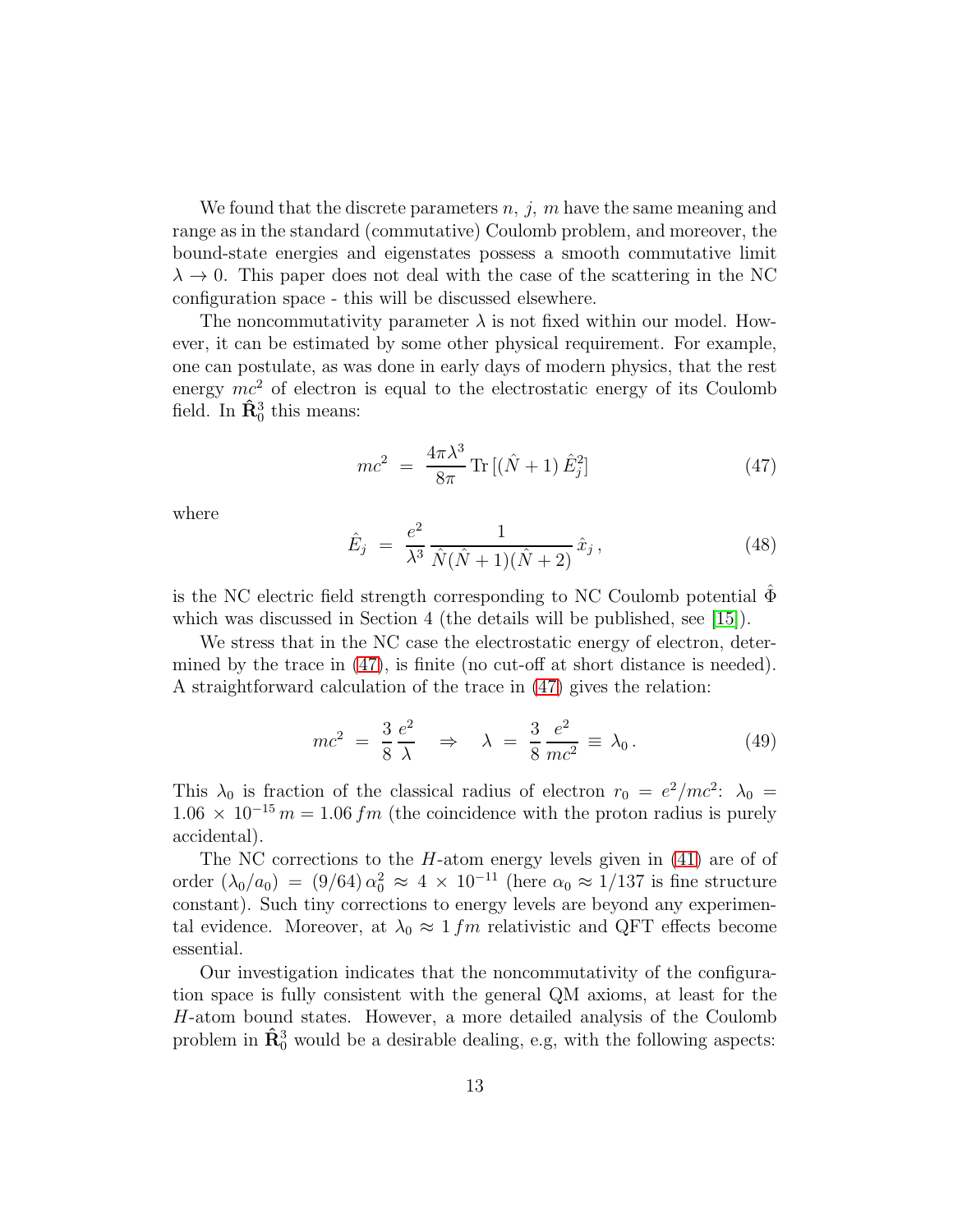We found that the discrete parameters  $n, j, m$  have the same meaning and range as in the standard (commutative) Coulomb problem, and moreover, the bound-state energies and eigenstates possess a smooth commutative limit  $\lambda \rightarrow 0$ . This paper does not deal with the case of the scattering in the NC configuration space - this will be discussed elsewhere.

The noncommutativity parameter  $\lambda$  is not fixed within our model. However, it can be estimated by some other physical requirement. For example, one can postulate, as was done in early days of modern physics, that the rest energy  $mc^2$  of electron is equal to the electrostatic energy of its Coulomb field. In  $\hat{\mathbf{R}}_0^3$  this means:

<span id="page-12-0"></span>
$$
mc^2 = \frac{4\pi\lambda^3}{8\pi} \text{Tr}[(\hat{N} + 1)\hat{E}_j^2]
$$
 (47)

where

$$
\hat{E}_j = \frac{e^2}{\lambda^3} \frac{1}{\hat{N}(\hat{N} + 1)(\hat{N} + 2)} \hat{x}_j, \tag{48}
$$

is the NC electric field strength corresponding to NC Coulomb potential  $\Phi$ which was discussed in Section 4 (the details will be published, see [\[15\]](#page-17-3)).

We stress that in the NC case the electrostatic energy of electron, determined by the trace in  $(47)$ , is finite (no cut-off at short distance is needed). A straightforward calculation of the trace in [\(47\)](#page-12-0) gives the relation:

$$
mc^2 = \frac{3}{8} \frac{e^2}{\lambda} \Rightarrow \lambda = \frac{3}{8} \frac{e^2}{mc^2} \equiv \lambda_0.
$$
 (49)

This  $\lambda_0$  is fraction of the classical radius of electron  $r_0 = e^2/mc^2$ :  $\lambda_0 =$  $1.06 \times 10^{-15}$  m = 1.06 fm (the coincidence with the proton radius is purely accidental).

The NC corrections to the  $H$ -atom energy levels given in  $(41)$  are of of order  $(\lambda_0/a_0)$  =  $(9/64) \alpha_0^2 \approx 4 \times 10^{-11}$  (here  $\alpha_0 \approx 1/137$  is fine structure constant). Such tiny corrections to energy levels are beyond any experimental evidence. Moreover, at  $\lambda_0 \approx 1 fm$  relativistic and QFT effects become essential.

Our investigation indicates that the noncommutativity of the configuration space is fully consistent with the general QM axioms, at least for the H-atom bound states. However, a more detailed analysis of the Coulomb problem in  $\hat{\mathbf{R}}_0^3$  would be a desirable dealing, e.g, with the following aspects: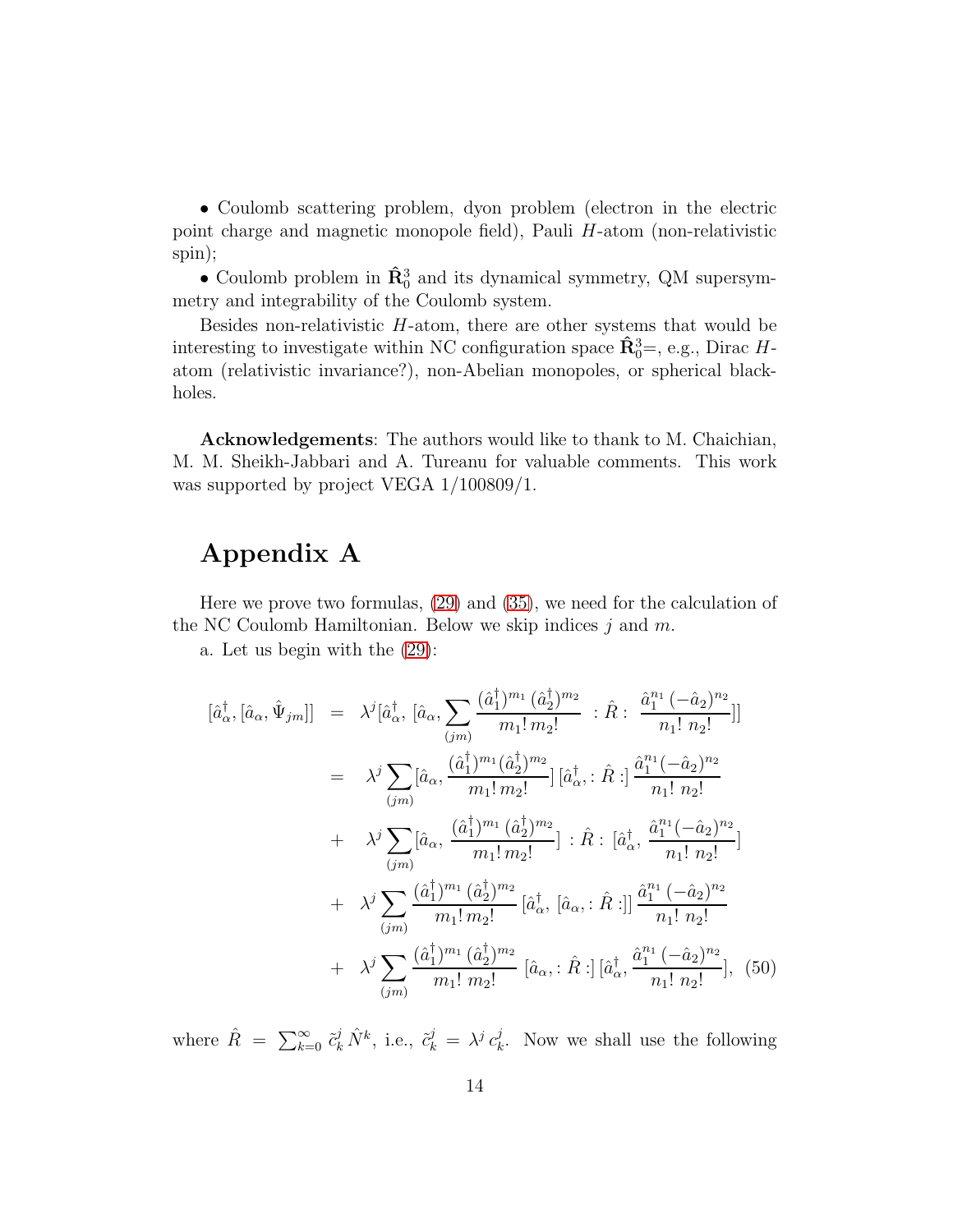• Coulomb scattering problem, dyon problem (electron in the electric point charge and magnetic monopole field), Pauli H-atom (non-relativistic spin);

• Coulomb problem in  $\hat{\mathbf{R}}_0^3$  and its dynamical symmetry, QM supersymmetry and integrability of the Coulomb system.

Besides non-relativistic  $H$ -atom, there are other systems that would be interesting to investigate within NC configuration space  $\hat{\mathbf{R}}_0^3 =$ , e.g., Dirac Hatom (relativistic invariance?), non-Abelian monopoles, or spherical blackholes.

Acknowledgements: The authors would like to thank to M. Chaichian, M. M. Sheikh-Jabbari and A. Tureanu for valuable comments. This work was supported by project VEGA 1/100809/1.

### Appendix A

Here we prove two formulas, [\(29\)](#page-7-0) and [\(35\)](#page-9-0), we need for the calculation of the NC Coulomb Hamiltonian. Below we skip indices  $j$  and  $m$ .

a. Let us begin with the [\(29\)](#page-7-0):

<span id="page-13-0"></span>
$$
[\hat{a}_{\alpha}^{\dagger}, [\hat{a}_{\alpha}, \hat{\Psi}_{jm}]] = \lambda^{j} [\hat{a}_{\alpha}^{\dagger}, [\hat{a}_{\alpha}, \sum_{(jm)} \frac{(\hat{a}_{1}^{\dagger})^{m_{1}} (\hat{a}_{2}^{\dagger})^{m_{2}}}{m_{1}! m_{2}!} : \hat{R} : \frac{\hat{a}_{1}^{n_{1}} (-\hat{a}_{2})^{n_{2}}}{n_{1}! n_{2}!}]]
$$
  
\n
$$
= \lambda^{j} \sum_{(jm)} [\hat{a}_{\alpha}, \frac{(\hat{a}_{1}^{\dagger})^{m_{1}} (\hat{a}_{2}^{\dagger})^{m_{2}}}{m_{1}! m_{2}!}][\hat{a}_{\alpha}^{\dagger}, : \hat{R} : ] \frac{\hat{a}_{1}^{n_{1}} (-\hat{a}_{2})^{n_{2}}}{n_{1}! n_{2}!} + \lambda^{j} \sum_{(jm)} [\hat{a}_{\alpha}, \frac{(\hat{a}_{1}^{\dagger})^{m_{1}} (\hat{a}_{2}^{\dagger})^{m_{2}}}{m_{1}! m_{2}!}] : \hat{R} : [\hat{a}_{\alpha}^{\dagger}, \frac{\hat{a}_{1}^{n_{1}} (-\hat{a}_{2})^{n_{2}}}{n_{1}! n_{2}!}]
$$
  
\n
$$
+ \lambda^{j} \sum_{(jm)} \frac{(\hat{a}_{1}^{\dagger})^{m_{1}} (\hat{a}_{2}^{\dagger})^{m_{2}}}{m_{1}! m_{2}!} [\hat{a}_{\alpha}^{\dagger}, [\hat{a}_{\alpha}, : \hat{R} :]] \frac{\hat{a}_{1}^{n_{1}} (-\hat{a}_{2})^{n_{2}}}{n_{1}! n_{2}!} + \lambda^{j} \sum_{(jm)} \frac{(\hat{a}_{1}^{\dagger})^{m_{1}} (\hat{a}_{2}^{\dagger})^{m_{2}}}{m_{1}! n_{2}!} [\hat{a}_{\alpha}, : \hat{R} :] [\hat{a}_{\alpha}^{\dagger}, \frac{\hat{a}_{1}^{n_{1}} (-\hat{a}_{2})^{n_{2}}}{n_{1}! n_{2}!}], (50)
$$

where  $\hat{R} = \sum_{k=0}^{\infty} \tilde{c}_k^j \hat{N}^k$ , i.e.,  $\tilde{c}_k^j = \lambda^j c_k^j$  $\mu_k^j$ . Now we shall use the following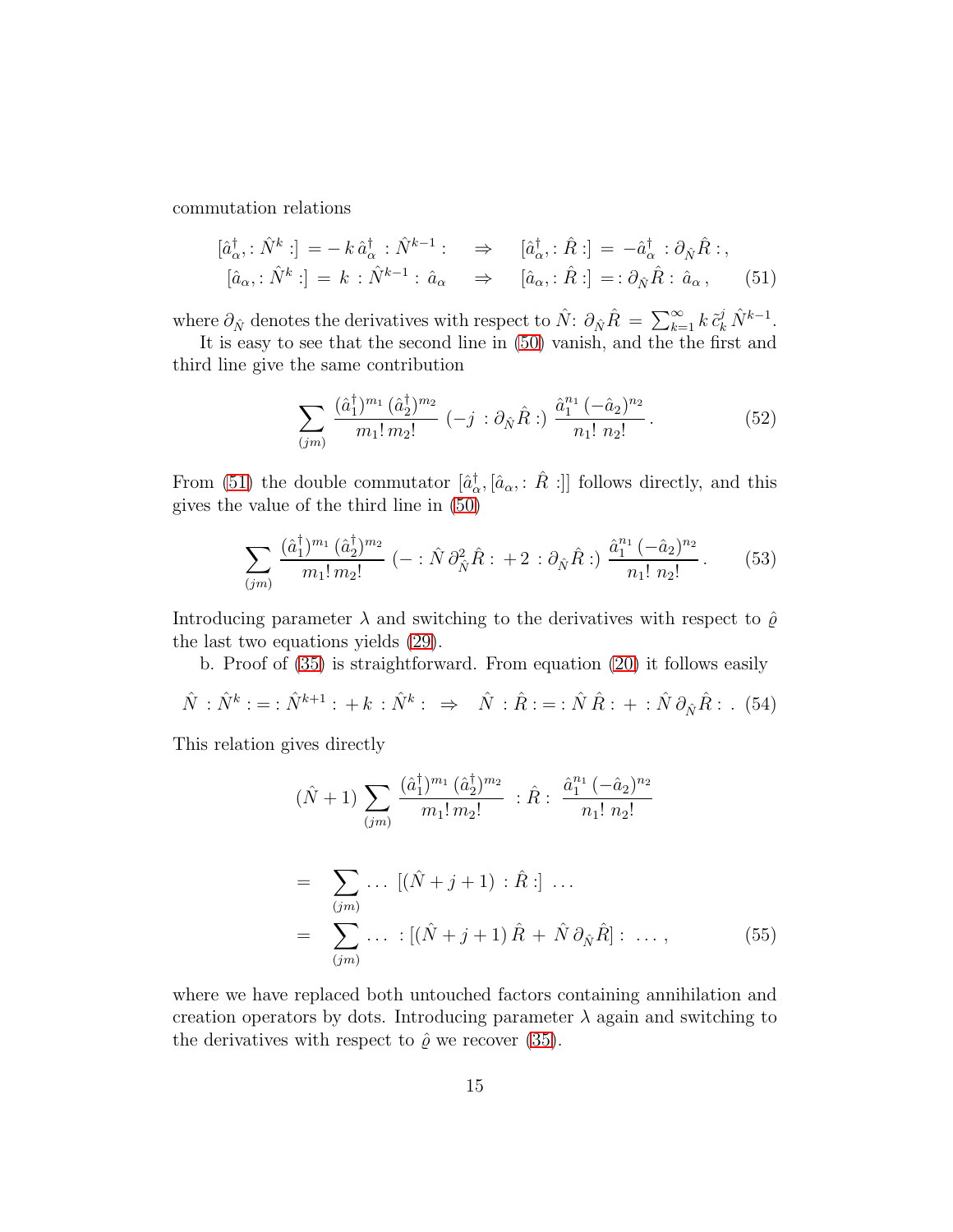commutation relations

<span id="page-14-0"></span>
$$
\begin{aligned}\n[\hat{a}_{\alpha}^{\dagger} : \hat{N}^{k} :] &= -k \,\hat{a}_{\alpha}^{\dagger} : \hat{N}^{k-1} : \quad \Rightarrow \quad [\hat{a}_{\alpha}^{\dagger} : \hat{R} :] = -\hat{a}_{\alpha}^{\dagger} : \partial_{\hat{N}} \hat{R} : \\
[\hat{a}_{\alpha} : \hat{N}^{k} :] &= k : \hat{N}^{k-1} : \hat{a}_{\alpha} \quad \Rightarrow \quad [\hat{a}_{\alpha} : \hat{R} :] = : \partial_{\hat{N}} \hat{R} : \hat{a}_{\alpha} \,,\n\end{aligned} \tag{51}
$$

where  $\partial_{\hat{N}}$  denotes the derivatives with respect to  $\hat{N}$ :  $\partial_{\hat{N}}\hat{R} = \sum_{k=1}^{\infty} k \tilde{c}_k^j \hat{N}^{k-1}$ .

It is easy to see that the second line in  $(50)$  vanish, and the the first and third line give the same contribution

$$
\sum_{(jm)} \frac{(\hat{a}_1^{\dagger})^{m_1} (\hat{a}_2^{\dagger})^{m_2}}{m_1! \, m_2!} \, (-j \, : \partial_{\hat{N}} \hat{R} : ) \, \frac{\hat{a}_1^{n_1} \, (-\hat{a}_2)^{n_2}}{n_1! \, n_2!} \,. \tag{52}
$$

From [\(51\)](#page-14-0) the double commutator  $[\hat{a}_{\alpha}^{\dagger}, [\hat{a}_{\alpha}, : \hat{R} :]]$  follows directly, and this gives the value of the third line in [\(50\)](#page-13-0)

$$
\sum_{(jm)} \frac{(\hat{a}_1^{\dagger})^{m_1} (\hat{a}_2^{\dagger})^{m_2}}{m_1! \, m_2!} \, (- : \hat{N} \, \partial_{\hat{N}}^2 \hat{R} : +2 : \partial_{\hat{N}} \hat{R} : ) \, \frac{\hat{a}_1^{n_1} \, (-\hat{a}_2)^{n_2}}{n_1! \, n_2!} \, . \tag{53}
$$

Introducing parameter  $\lambda$  and switching to the derivatives with respect to  $\hat{\varrho}$ the last two equations yields [\(29\)](#page-7-0).

b. Proof of [\(35\)](#page-9-0) is straightforward. From equation [\(20\)](#page-5-3) it follows easily

$$
\hat{N} : \hat{N}^k := \hat{N}^{k+1} : +k : \hat{N}^k : \Rightarrow \quad \hat{N} : \hat{R} := \hat{N} \hat{R} : + \hat{N} \partial_{\hat{N}} \hat{R} : .
$$
 (54)

This relation gives directly

$$
(\hat{N} + 1) \sum_{(jm)} \frac{(\hat{a}_1^{\dagger})^{m_1} (\hat{a}_2^{\dagger})^{m_2}}{m_1! m_2!} : \hat{R} : \frac{\hat{a}_1^{n_1} (-\hat{a}_2)^{n_2}}{n_1! n_2!}
$$
  
= 
$$
\sum_{(jm)} \dots [(\hat{N} + j + 1) : \hat{R} :] \dots
$$
  
= 
$$
\sum_{(jm)} \dots : [(\hat{N} + j + 1) \hat{R} + \hat{N} \partial_{\hat{N}} \hat{R}] : \dots,
$$
 (55)

where we have replaced both untouched factors containing annihilation and creation operators by dots. Introducing parameter  $\lambda$  again and switching to the derivatives with respect to  $\hat{\varrho}$  we recover [\(35\)](#page-9-0).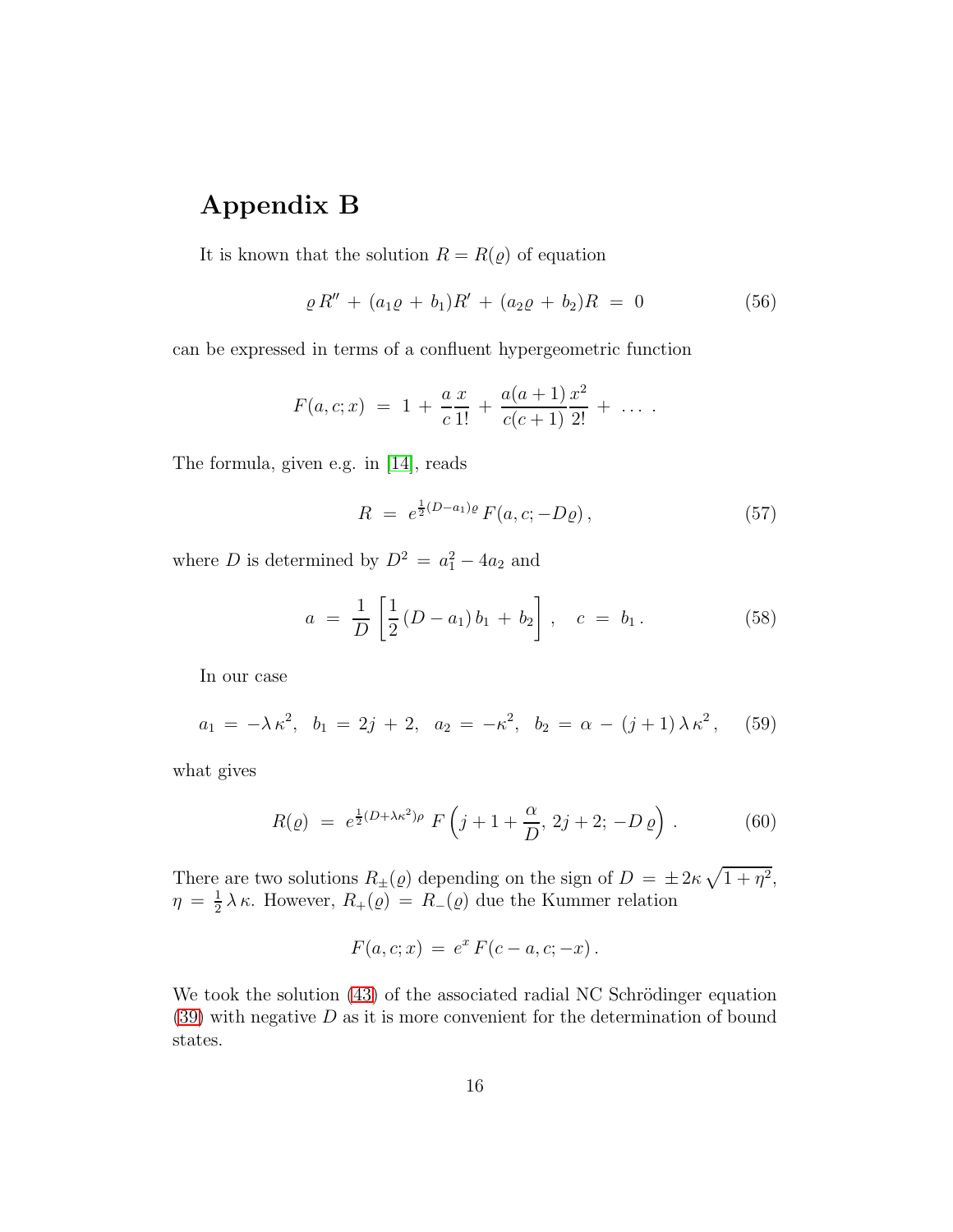### Appendix B

It is known that the solution  $R = R(\varrho)$  of equation

$$
\rho R'' + (a_1 \rho + b_1)R' + (a_2 \rho + b_2)R = 0 \tag{56}
$$

can be expressed in terms of a confluent hypergeometric function

$$
F(a, c; x) = 1 + \frac{a x}{c 1!} + \frac{a(a+1) x^2}{c(c+1) 2!} + \ldots
$$

The formula, given e.g. in [\[14\]](#page-17-4), reads

$$
R = e^{\frac{1}{2}(D-a_1)\varrho} F(a, c; -D\varrho) , \qquad (57)
$$

where *D* is determined by  $D^2 = a_1^2 - 4a_2$  and

$$
a = \frac{1}{D} \left[ \frac{1}{2} (D - a_1) b_1 + b_2 \right], \quad c = b_1.
$$
 (58)

In our case

$$
a_1 = -\lambda \kappa^2, \ b_1 = 2j + 2, \ a_2 = -\kappa^2, \ b_2 = \alpha - (j+1)\lambda \kappa^2, \quad (59)
$$

what gives

$$
R(\varrho) = e^{\frac{1}{2}(D + \lambda \kappa^2)\rho} F\left(j + 1 + \frac{\alpha}{D}, 2j + 2; -D\varrho\right).
$$
 (60)

There are two solutions  $R_{\pm}(\rho)$  depending on the sign of  $D = \pm 2\kappa \sqrt{1 + \eta^2}$ ,  $\eta = \frac{1}{2}$  $\frac{1}{2}\lambda\kappa$ . However,  $R_+(\varrho) = R_-(\varrho)$  due the Kummer relation

$$
F(a, c; x) = e^x F(c - a, c; -x).
$$

We took the solution  $(43)$  of the associated radial NC Schrödinger equation  $(39)$  with negative  $D$  as it is more convenient for the determination of bound states.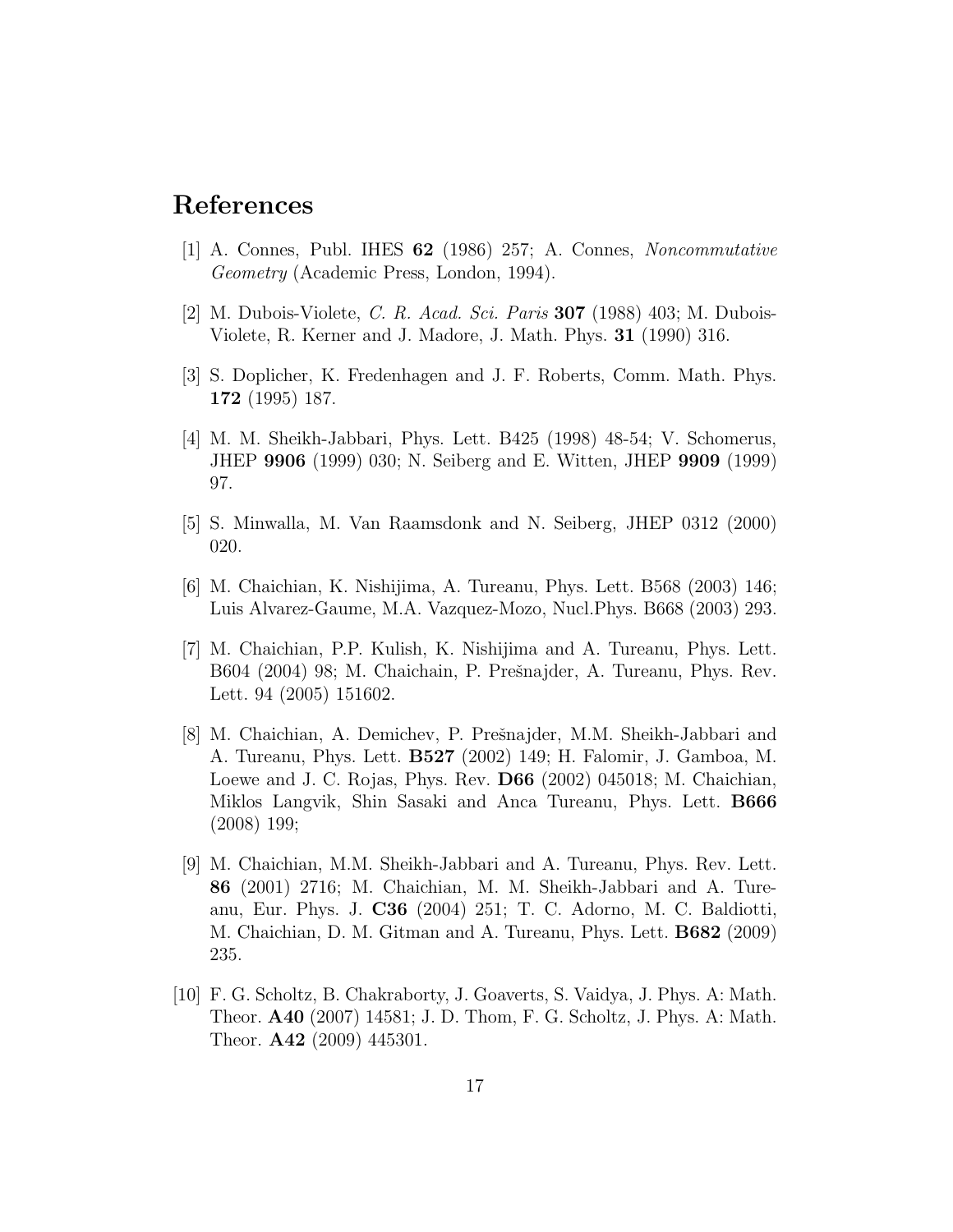#### <span id="page-16-0"></span>References

- <span id="page-16-1"></span>[1] A. Connes, Publ. IHES 62 (1986) 257; A. Connes, Noncommutative Geometry (Academic Press, London, 1994).
- <span id="page-16-2"></span>[2] M. Dubois-Violete, C. R. Acad. Sci. Paris 307 (1988) 403; M. Dubois-Violete, R. Kerner and J. Madore, J. Math. Phys. 31 (1990) 316.
- <span id="page-16-3"></span>[3] S. Doplicher, K. Fredenhagen and J. F. Roberts, Comm. Math. Phys. 172 (1995) 187.
- [4] M. M. Sheikh-Jabbari, Phys. Lett. B425 (1998) 48-54; V. Schomerus, JHEP 9906 (1999) 030; N. Seiberg and E. Witten, JHEP 9909 (1999) 97.
- <span id="page-16-5"></span><span id="page-16-4"></span>[5] S. Minwalla, M. Van Raamsdonk and N. Seiberg, JHEP 0312 (2000) 020.
- <span id="page-16-6"></span>[6] M. Chaichian, K. Nishijima, A. Tureanu, Phys. Lett. B568 (2003) 146; Luis Alvarez-Gaume, M.A. Vazquez-Mozo, Nucl.Phys. B668 (2003) 293.
- [7] M. Chaichian, P.P. Kulish, K. Nishijima and A. Tureanu, Phys. Lett. B604 (2004) 98; M. Chaichain, P. Prešnajder, A. Tureanu, Phys. Rev. Lett. 94 (2005) 151602.
- <span id="page-16-7"></span>[8] M. Chaichian, A. Demichev, P. Prešnajder, M.M. Sheikh-Jabbari and A. Tureanu, Phys. Lett. B527 (2002) 149; H. Falomir, J. Gamboa, M. Loewe and J. C. Rojas, Phys. Rev. D66 (2002) 045018; M. Chaichian, Miklos Langvik, Shin Sasaki and Anca Tureanu, Phys. Lett. B666 (2008) 199;
- <span id="page-16-8"></span>[9] M. Chaichian, M.M. Sheikh-Jabbari and A. Tureanu, Phys. Rev. Lett. 86 (2001) 2716; M. Chaichian, M. M. Sheikh-Jabbari and A. Tureanu, Eur. Phys. J. C36 (2004) 251; T. C. Adorno, M. C. Baldiotti, M. Chaichian, D. M. Gitman and A. Tureanu, Phys. Lett. B682 (2009) 235.
- <span id="page-16-9"></span>[10] F. G. Scholtz, B. Chakraborty, J. Goaverts, S. Vaidya, J. Phys. A: Math. Theor. A40 (2007) 14581; J. D. Thom, F. G. Scholtz, J. Phys. A: Math. Theor. A42 (2009) 445301.